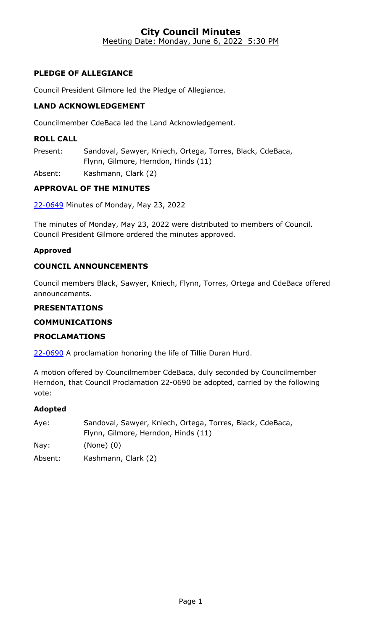#### **City Council Minutes** Meeting Date: Monday, June 6, 2022 5:30 PM

## **PLEDGE OF ALLEGIANCE**

Council President Gilmore led the Pledge of Allegiance.

### **LAND ACKNOWLEDGEMENT**

Councilmember CdeBaca led the Land Acknowledgement.

#### **ROLL CALL**

Present: Sandoval, Sawyer, Kniech, Ortega, Torres, Black, CdeBaca, Flynn, Gilmore, Herndon, Hinds (11)

Absent: Kashmann, Clark (2)

## **APPROVAL OF THE MINUTES**

22-0649 [Minutes of Monday, May 23, 2022](http://denver.legistar.com/gateway.aspx?m=l&id=/matter.aspx?key=21716)

The minutes of Monday, May 23, 2022 were distributed to members of Council. Council President Gilmore ordered the minutes approved.

#### **Approved**

#### **COUNCIL ANNOUNCEMENTS**

Council members Black, Sawyer, Kniech, Flynn, Torres, Ortega and CdeBaca offered announcements.

#### **PRESENTATIONS**

#### **COMMUNICATIONS**

#### **PROCLAMATIONS**

22-0690 [A proclamation honoring the life of Tillie Duran Hurd.](http://denver.legistar.com/gateway.aspx?m=l&id=/matter.aspx?key=21757)

A motion offered by Councilmember CdeBaca, duly seconded by Councilmember Herndon, that Council Proclamation 22-0690 be adopted, carried by the following vote:

| Aye:            | Sandoval, Sawyer, Kniech, Ortega, Torres, Black, CdeBaca, |
|-----------------|-----------------------------------------------------------|
|                 | Flynn, Gilmore, Herndon, Hinds (11)                       |
| $\textsf{Nav:}$ | $(None)$ $(0)$                                            |
| Absent:         | Kashmann, Clark (2)                                       |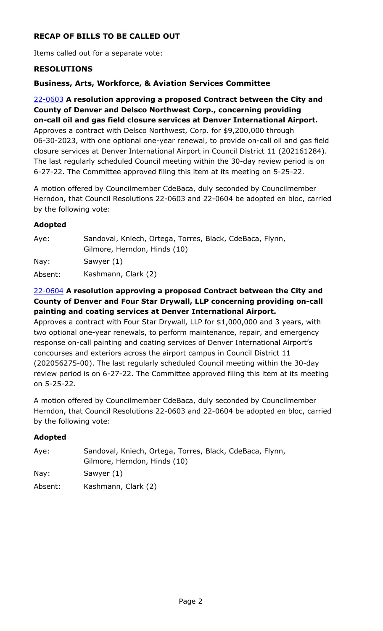## **RECAP OF BILLS TO BE CALLED OUT**

Items called out for a separate vote:

#### **RESOLUTIONS**

#### **Business, Arts, Workforce, & Aviation Services Committee**

22-0603 **A resolution approving a proposed Contract between the City and County of Denver and Delsco Northwest Corp., concerning providing on-call oil and gas field closure services at Denver International Airport.** Approves a contract with Delsco Northwest, Corp. for \$9,200,000 through [06-30-2023, with one optional one-year renewal, to provide on-call oil and gas field](http://denver.legistar.com/gateway.aspx?m=l&id=/matter.aspx?key=21670)  closure services at Denver International Airport in Council District 11 (202161284). The last regularly scheduled Council meeting within the 30-day review period is on 6-27-22. The Committee approved filing this item at its meeting on 5-25-22.

A motion offered by Councilmember CdeBaca, duly seconded by Councilmember Herndon, that Council Resolutions 22-0603 and 22-0604 be adopted en bloc, carried by the following vote:

#### **Adopted**

| Aye:    | Sandoval, Kniech, Ortega, Torres, Black, CdeBaca, Flynn,<br>Gilmore, Herndon, Hinds (10) |
|---------|------------------------------------------------------------------------------------------|
| Nay:    | Sawyer (1)                                                                               |
| Absent: | Kashmann, Clark (2)                                                                      |

### 22-0604 **A resolution approving a proposed Contract between the City and County of Denver and Four Star Drywall, LLP concerning providing on-call painting and coating services at Denver International Airport.**

Approves a contract with Four Star Drywall, LLP for \$1,000,000 and 3 years, with two optional one-year renewals, to perform maintenance, repair, and emergency response on-call painting and coating services of Denver International Airport's concourses and exteriors across the airport campus in Council District 11 (202056275-00). The last regularly scheduled Council meeting within the 30-day [review period is on 6-27-22. The Committee approved filing this item at its meeting](http://denver.legistar.com/gateway.aspx?m=l&id=/matter.aspx?key=21671)  on 5-25-22.

A motion offered by Councilmember CdeBaca, duly seconded by Councilmember Herndon, that Council Resolutions 22-0603 and 22-0604 be adopted en bloc, carried by the following vote:

| Aye:    | Sandoval, Kniech, Ortega, Torres, Black, CdeBaca, Flynn,<br>Gilmore, Herndon, Hinds (10) |
|---------|------------------------------------------------------------------------------------------|
| Nay:    | Sawyer (1)                                                                               |
| Absent: | Kashmann, Clark (2)                                                                      |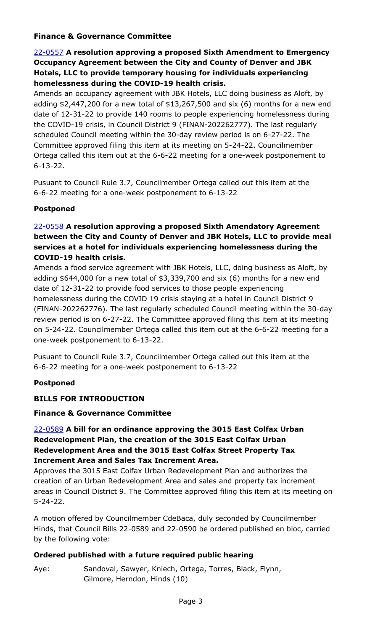### **Finance & Governance Committee**

## 22-0557 **A resolution approving a proposed Sixth Amendment to Emergency Occupancy Agreement between the City and County of Denver and JBK Hotels, LLC to provide temporary housing for individuals experiencing homelessness during the COVID-19 health crisis.**

Amends an occupancy agreement with JBK Hotels, LLC doing business as Aloft, by [adding \\$2,447,200 for a new total of \\$13,267,500 and six \(6\) months for a new end](http://denver.legistar.com/gateway.aspx?m=l&id=/matter.aspx?key=21624)  date of 12-31-22 to provide 140 rooms to people experiencing homelessness during the COVID-19 crisis, in Council District 9 (FINAN-202262777). The last regularly scheduled Council meeting within the 30-day review period is on 6-27-22. The Committee approved filing this item at its meeting on 5-24-22. Councilmember Ortega called this item out at the 6-6-22 meeting for a one-week postponement to 6-13-22.

Pusuant to Council Rule 3.7, Councilmember Ortega called out this item at the 6-6-22 meeting for a one-week postponement to 6-13-22

### **Postponed**

## 22-0558 **A resolution approving a proposed Sixth Amendatory Agreement between the City and County of Denver and JBK Hotels, LLC to provide meal services at a hotel for individuals experiencing homelessness during the COVID-19 health crisis.**

Amends a food service agreement with JBK Hotels, LLC, doing business as Aloft, by adding \$644,000 for a new total of \$3,339,700 and six (6) months for a new end date of 12-31-22 to provide food services to those people experiencing homelessness during the COVID 19 crisis staying at a hotel in Council District 9 [\(FINAN-202262776\). The last regularly scheduled Council meeting within the 30-day](http://denver.legistar.com/gateway.aspx?m=l&id=/matter.aspx?key=21625)  review period is on 6-27-22. The Committee approved filing this item at its meeting on 5-24-22. Councilmember Ortega called this item out at the 6-6-22 meeting for a one-week postponement to 6-13-22.

Pusuant to Council Rule 3.7, Councilmember Ortega called out this item at the 6-6-22 meeting for a one-week postponement to 6-13-22

### **Postponed**

### **BILLS FOR INTRODUCTION**

### **Finance & Governance Committee**

## 22-0589 **A bill for an ordinance approving the 3015 East Colfax Urban Redevelopment Plan, the creation of the 3015 East Colfax Urban Redevelopment Area and the 3015 East Colfax Street Property Tax Increment Area and Sales Tax Increment Area.**

Approves the 3015 East Colfax Urban Redevelopment Plan and authorizes the creation of an Urban Redevelopment Area and sales and property tax increment [areas in Council District 9. The Committee approved filing this item at its meeting on](http://denver.legistar.com/gateway.aspx?m=l&id=/matter.aspx?key=21656)  5-24-22.

A motion offered by Councilmember CdeBaca, duly seconded by Councilmember Hinds, that Council Bills 22-0589 and 22-0590 be ordered published en bloc, carried by the following vote:

### **Ordered published with a future required public hearing**

Aye: Sandoval, Sawyer, Kniech, Ortega, Torres, Black, Flynn, Gilmore, Herndon, Hinds (10)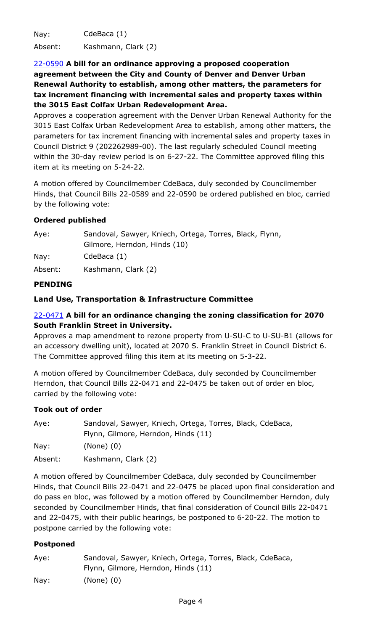Nay: CdeBaca (1)

Absent: Kashmann, Clark (2)

22-0590 **A bill for an ordinance approving a proposed cooperation agreement between the City and County of Denver and Denver Urban Renewal Authority to establish, among other matters, the parameters for tax increment financing with incremental sales and property taxes within the 3015 East Colfax Urban Redevelopment Area.**

[Approves a cooperation agreement with the Denver Urban Renewal Authority for the](http://denver.legistar.com/gateway.aspx?m=l&id=/matter.aspx?key=21657)  3015 East Colfax Urban Redevelopment Area to establish, among other matters, the parameters for tax increment financing with incremental sales and property taxes in Council District 9 (202262989-00). The last regularly scheduled Council meeting within the 30-day review period is on 6-27-22. The Committee approved filing this item at its meeting on 5-24-22.

A motion offered by Councilmember CdeBaca, duly seconded by Councilmember Hinds, that Council Bills 22-0589 and 22-0590 be ordered published en bloc, carried by the following vote:

## **Ordered published**

| Aye:    | Sandoval, Sawyer, Kniech, Ortega, Torres, Black, Flynn, |
|---------|---------------------------------------------------------|
|         | Gilmore, Herndon, Hinds (10)                            |
| Nay:    | CdeBaca (1)                                             |
| Absent: | Kashmann, Clark (2)                                     |

## **PENDING**

## **Land Use, Transportation & Infrastructure Committee**

## 22-0471 **A bill for an ordinance changing the zoning classification for 2070 South Franklin Street in University.**

[Approves a map amendment to rezone property from U-SU-C to U-SU-B1 \(allows for](http://denver.legistar.com/gateway.aspx?m=l&id=/matter.aspx?key=21538)  an accessory dwelling unit), located at 2070 S. Franklin Street in Council District 6. The Committee approved filing this item at its meeting on 5-3-22.

A motion offered by Councilmember CdeBaca, duly seconded by Councilmember Herndon, that Council Bills 22-0471 and 22-0475 be taken out of order en bloc, carried by the following vote:

### **Took out of order**

| Aye: | Sandoval, Sawyer, Kniech, Ortega, Torres, Black, CdeBaca, |
|------|-----------------------------------------------------------|
|      | Flynn, Gilmore, Herndon, Hinds (11)                       |
| Nay: | $(None)$ $(0)$                                            |

Absent: Kashmann, Clark (2)

A motion offered by Councilmember CdeBaca, duly seconded by Councilmember Hinds, that Council Bills 22-0471 and 22-0475 be placed upon final consideration and do pass en bloc, was followed by a motion offered by Councilmember Herndon, duly seconded by Councilmember Hinds, that final consideration of Council Bills 22-0471 and 22-0475, with their public hearings, be postponed to 6-20-22. The motion to postpone carried by the following vote:

### **Postponed**

| Aye: | Sandoval, Sawyer, Kniech, Ortega, Torres, Black, CdeBaca, |
|------|-----------------------------------------------------------|
|      | Flynn, Gilmore, Herndon, Hinds (11)                       |
| Nay: | $(None)$ $(0)$                                            |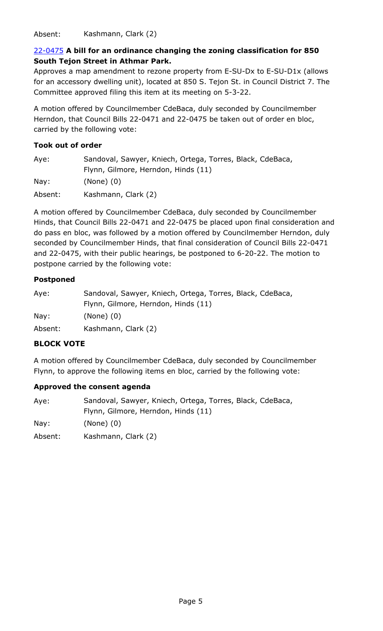Absent: Kashmann, Clark (2)

## 22-0475 **A bill for an ordinance changing the zoning classification for 850 South Tejon Street in Athmar Park.**

Approves a map amendment to rezone property from E-SU-Dx to E-SU-D1x (allows [for an accessory dwelling unit\), located at 850 S. Tejon St. in Council District 7. The](http://denver.legistar.com/gateway.aspx?m=l&id=/matter.aspx?key=21542)  Committee approved filing this item at its meeting on 5-3-22.

A motion offered by Councilmember CdeBaca, duly seconded by Councilmember Herndon, that Council Bills 22-0471 and 22-0475 be taken out of order en bloc, carried by the following vote:

## **Took out of order**

| Aye:    | Sandoval, Sawyer, Kniech, Ortega, Torres, Black, CdeBaca,<br>Flynn, Gilmore, Herndon, Hinds (11) |
|---------|--------------------------------------------------------------------------------------------------|
| Nay:    | $(None)$ $(0)$                                                                                   |
| Absent: | Kashmann, Clark (2)                                                                              |

A motion offered by Councilmember CdeBaca, duly seconded by Councilmember Hinds, that Council Bills 22-0471 and 22-0475 be placed upon final consideration and do pass en bloc, was followed by a motion offered by Councilmember Herndon, duly seconded by Councilmember Hinds, that final consideration of Council Bills 22-0471 and 22-0475, with their public hearings, be postponed to 6-20-22. The motion to postpone carried by the following vote:

## **Postponed**

| Aye:    | Sandoval, Sawyer, Kniech, Ortega, Torres, Black, CdeBaca,<br>Flynn, Gilmore, Herndon, Hinds (11) |
|---------|--------------------------------------------------------------------------------------------------|
| Nay:    | $(None)$ $(0)$                                                                                   |
| Absent: | Kashmann, Clark (2)                                                                              |

## **BLOCK VOTE**

A motion offered by Councilmember CdeBaca, duly seconded by Councilmember Flynn, to approve the following items en bloc, carried by the following vote:

### **Approved the consent agenda**

| Aye: | Sandoval, Sawyer, Kniech, Ortega, Torres, Black, CdeBaca, |
|------|-----------------------------------------------------------|
|      | Flynn, Gilmore, Herndon, Hinds (11)                       |

Nay: (None) (0)

Absent: Kashmann, Clark (2)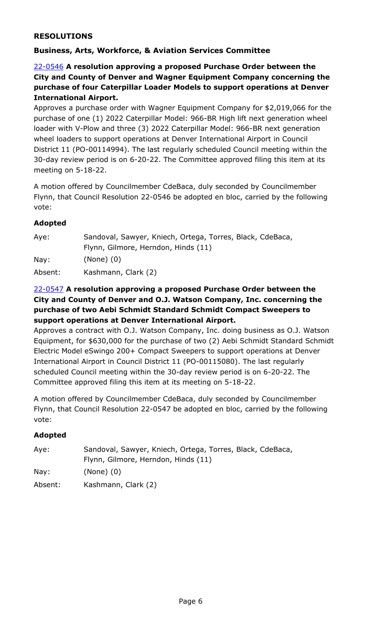### **RESOLUTIONS**

## **Business, Arts, Workforce, & Aviation Services Committee**

22-0546 **A resolution approving a proposed Purchase Order between the City and County of Denver and Wagner Equipment Company concerning the purchase of four Caterpillar Loader Models to support operations at Denver International Airport.**

[Approves a purchase order with Wagner Equipment Company for \\$2,019,066 for the](http://denver.legistar.com/gateway.aspx?m=l&id=/matter.aspx?key=21613)  purchase of one (1) 2022 Caterpillar Model: 966-BR High lift next generation wheel loader with V-Plow and three (3) 2022 Caterpillar Model: 966-BR next generation wheel loaders to support operations at Denver International Airport in Council District 11 (PO-00114994). The last regularly scheduled Council meeting within the 30-day review period is on 6-20-22. The Committee approved filing this item at its meeting on 5-18-22.

A motion offered by Councilmember CdeBaca, duly seconded by Councilmember Flynn, that Council Resolution 22-0546 be adopted en bloc, carried by the following vote:

### **Adopted**

| Aye:    | Sandoval, Sawyer, Kniech, Ortega, Torres, Black, CdeBaca,<br>Flynn, Gilmore, Herndon, Hinds (11) |
|---------|--------------------------------------------------------------------------------------------------|
| Nay:    | $(None)$ $(0)$                                                                                   |
| Absent: | Kashmann, Clark (2)                                                                              |

### 22-0547 **A resolution approving a proposed Purchase Order between the City and County of Denver and O.J. Watson Company, Inc. concerning the purchase of two Aebi Schmidt Standard Schmidt Compact Sweepers to support operations at Denver International Airport.**

Approves a contract with O.J. Watson Company, Inc. doing business as O.J. Watson [Equipment, for \\$630,000 for the purchase of two \(2\) Aebi Schmidt Standard Schmidt](http://denver.legistar.com/gateway.aspx?m=l&id=/matter.aspx?key=21614)  Electric Model eSwingo 200+ Compact Sweepers to support operations at Denver International Airport in Council District 11 (PO-00115080). The last regularly scheduled Council meeting within the 30-day review period is on 6-20-22. The Committee approved filing this item at its meeting on 5-18-22.

A motion offered by Councilmember CdeBaca, duly seconded by Councilmember Flynn, that Council Resolution 22-0547 be adopted en bloc, carried by the following vote:

| Aye:    | Sandoval, Sawyer, Kniech, Ortega, Torres, Black, CdeBaca, |
|---------|-----------------------------------------------------------|
|         | Flynn, Gilmore, Herndon, Hinds (11)                       |
| Nay:    | $(None)$ $(0)$                                            |
| Absent: | Kashmann, Clark (2)                                       |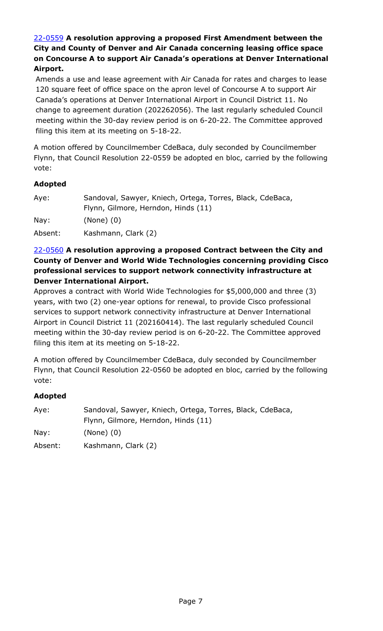## 22-0559 **A resolution approving a proposed First Amendment between the City and County of Denver and Air Canada concerning leasing office space [on Concourse A to support Air Canada's operations at Denver International](http://denver.legistar.com/gateway.aspx?m=l&id=/matter.aspx?key=21626)  Airport.**

Amends a use and lease agreement with Air Canada for rates and charges to lease 120 square feet of office space on the apron level of Concourse A to support Air Canada's operations at Denver International Airport in Council District 11. No change to agreement duration (202262056). The last regularly scheduled Council meeting within the 30-day review period is on 6-20-22. The Committee approved filing this item at its meeting on 5-18-22.

A motion offered by Councilmember CdeBaca, duly seconded by Councilmember Flynn, that Council Resolution 22-0559 be adopted en bloc, carried by the following vote:

### **Adopted**

| Aye:    | Sandoval, Sawyer, Kniech, Ortega, Torres, Black, CdeBaca, |
|---------|-----------------------------------------------------------|
|         | Flynn, Gilmore, Herndon, Hinds (11)                       |
| Nay:    | $(None)$ $(0)$                                            |
| Absent: | Kashmann, Clark (2)                                       |

### 22-0560 **A resolution approving a proposed Contract between the City and [County of Denver and World Wide Technologies concerning providing Cisco](http://denver.legistar.com/gateway.aspx?m=l&id=/matter.aspx?key=21627)  professional services to support network connectivity infrastructure at Denver International Airport.**

Approves a contract with World Wide Technologies for \$5,000,000 and three (3) years, with two (2) one-year options for renewal, to provide Cisco professional services to support network connectivity infrastructure at Denver International Airport in Council District 11 (202160414). The last regularly scheduled Council meeting within the 30-day review period is on 6-20-22. The Committee approved filing this item at its meeting on 5-18-22.

A motion offered by Councilmember CdeBaca, duly seconded by Councilmember Flynn, that Council Resolution 22-0560 be adopted en bloc, carried by the following vote:

| Aye:    | Sandoval, Sawyer, Kniech, Ortega, Torres, Black, CdeBaca, |
|---------|-----------------------------------------------------------|
|         | Flynn, Gilmore, Herndon, Hinds (11)                       |
| Nay:    | $(None)$ $(0)$                                            |
| Absent: | Kashmann, Clark (2)                                       |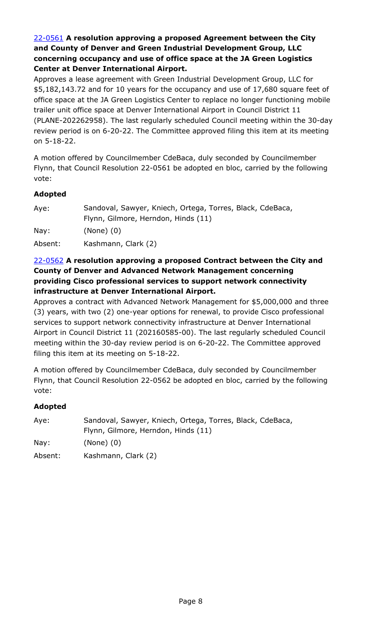## 22-0561 **A resolution approving a proposed Agreement between the City and County of Denver and Green Industrial Development Group, LLC concerning occupancy and use of office space at the JA Green Logistics Center at Denver International Airport.**

Approves a lease agreement with Green Industrial Development Group, LLC for \$5,182,143.72 and for 10 years for the occupancy and use of 17,680 square feet of office space at the JA Green Logistics Center to replace no longer functioning mobile trailer unit office space at Denver International Airport in Council District 11 [\(PLANE-202262958\). The last regularly scheduled Council meeting within the 30-day](http://denver.legistar.com/gateway.aspx?m=l&id=/matter.aspx?key=21628)  review period is on 6-20-22. The Committee approved filing this item at its meeting on 5-18-22.

A motion offered by Councilmember CdeBaca, duly seconded by Councilmember Flynn, that Council Resolution 22-0561 be adopted en bloc, carried by the following vote:

## **Adopted**

| Aye:    | Sandoval, Sawyer, Kniech, Ortega, Torres, Black, CdeBaca,<br>Flynn, Gilmore, Herndon, Hinds (11) |
|---------|--------------------------------------------------------------------------------------------------|
| Nay:    | $(None)$ $(0)$                                                                                   |
| Absent: | Kashmann, Clark (2)                                                                              |

### 22-0562 **A resolution approving a proposed Contract between the City and County of Denver and Advanced Network Management concerning providing Cisco professional services to support network connectivity infrastructure at Denver International Airport.**

[Approves a contract with Advanced Network Management for \\$5,000,000 and three](http://denver.legistar.com/gateway.aspx?m=l&id=/matter.aspx?key=21629)  (3) years, with two (2) one-year options for renewal, to provide Cisco professional services to support network connectivity infrastructure at Denver International Airport in Council District 11 (202160585-00). The last regularly scheduled Council meeting within the 30-day review period is on 6-20-22. The Committee approved filing this item at its meeting on 5-18-22.

A motion offered by Councilmember CdeBaca, duly seconded by Councilmember Flynn, that Council Resolution 22-0562 be adopted en bloc, carried by the following vote:

| Aye:    | Sandoval, Sawyer, Kniech, Ortega, Torres, Black, CdeBaca, |
|---------|-----------------------------------------------------------|
|         | Flynn, Gilmore, Herndon, Hinds (11)                       |
| Nay:    | $(None)$ $(0)$                                            |
| Absent: | Kashmann, Clark (2)                                       |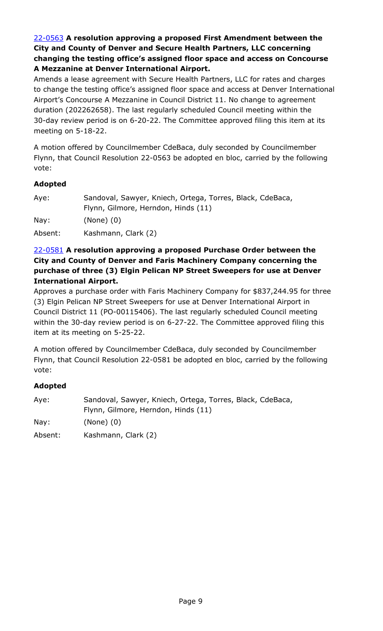22-0563 **A resolution approving a proposed First Amendment between the City and County of Denver and Secure Health Partners, LLC concerning changing the testing office's assigned floor space and access on Concourse A Mezzanine at Denver International Airport.**

Amends a lease agreement with Secure Health Partners, LLC for rates and charges [to change the testing office's assigned floor space and access at Denver International](http://denver.legistar.com/gateway.aspx?m=l&id=/matter.aspx?key=21630)  Airport's Concourse A Mezzanine in Council District 11. No change to agreement duration (202262658). The last regularly scheduled Council meeting within the 30-day review period is on 6-20-22. The Committee approved filing this item at its meeting on 5-18-22.

A motion offered by Councilmember CdeBaca, duly seconded by Councilmember Flynn, that Council Resolution 22-0563 be adopted en bloc, carried by the following vote:

### **Adopted**

| Aye:            | Sandoval, Sawyer, Kniech, Ortega, Torres, Black, CdeBaca, |
|-----------------|-----------------------------------------------------------|
|                 | Flynn, Gilmore, Herndon, Hinds (11)                       |
| $\textsf{Nay}:$ | $(None)$ $(0)$                                            |
| Absent:         | Kashmann, Clark (2)                                       |

### 22-0581 **A resolution approving a proposed Purchase Order between the City and County of Denver and Faris Machinery Company concerning the purchase of three (3) Elgin Pelican NP Street Sweepers for use at Denver International Airport.**

[Approves a purchase order with Faris Machinery Company for \\$837,244.95 for three](http://denver.legistar.com/gateway.aspx?m=l&id=/matter.aspx?key=21648)  (3) Elgin Pelican NP Street Sweepers for use at Denver International Airport in Council District 11 (PO-00115406). The last regularly scheduled Council meeting within the 30-day review period is on 6-27-22. The Committee approved filing this item at its meeting on 5-25-22.

A motion offered by Councilmember CdeBaca, duly seconded by Councilmember Flynn, that Council Resolution 22-0581 be adopted en bloc, carried by the following vote:

| Aye:    | Sandoval, Sawyer, Kniech, Ortega, Torres, Black, CdeBaca, |
|---------|-----------------------------------------------------------|
|         | Flynn, Gilmore, Herndon, Hinds (11)                       |
| Nay:    | $(None)$ $(0)$                                            |
| Absent: | Kashmann, Clark (2)                                       |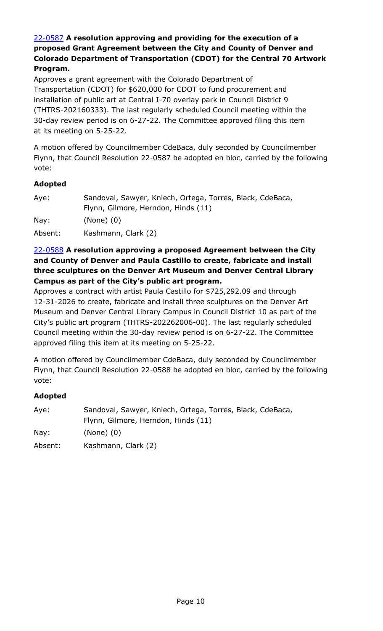## 22-0587 **A resolution approving and providing for the execution of a proposed Grant Agreement between the City and County of Denver and [Colorado Department of Transportation \(CDOT\) for the Central 70 Artwork](http://denver.legistar.com/gateway.aspx?m=l&id=/matter.aspx?key=21654)  Program.**

Approves a grant agreement with the Colorado Department of Transportation (CDOT) for \$620,000 for CDOT to fund procurement and installation of public art at Central I-70 overlay park in Council District 9 (THTRS-202160333). The last regularly scheduled Council meeting within the 30-day review period is on 6-27-22. The Committee approved filing this item at its meeting on 5-25-22.

A motion offered by Councilmember CdeBaca, duly seconded by Councilmember Flynn, that Council Resolution 22-0587 be adopted en bloc, carried by the following vote:

### **Adopted**

| Aye:    | Sandoval, Sawyer, Kniech, Ortega, Torres, Black, CdeBaca, |
|---------|-----------------------------------------------------------|
|         | Flynn, Gilmore, Herndon, Hinds (11)                       |
| Nay:    | $(None)$ $(0)$                                            |
| Absent: | Kashmann, Clark (2)                                       |

### 22-0588 **A resolution approving a proposed Agreement between the City and County of Denver and Paula Castillo to create, fabricate and install three sculptures on the Denver Art Museum and Denver Central Library Campus as part of the City's public art program.**

Approves a contract with artist Paula Castillo for \$725,292.09 and through 12-31-2026 to create, fabricate and install three sculptures on the Denver Art [Museum and Denver Central Library Campus in Council District 10 as part of the](http://denver.legistar.com/gateway.aspx?m=l&id=/matter.aspx?key=21655)  City's public art program (THTRS-202262006-00). The last regularly scheduled Council meeting within the 30-day review period is on 6-27-22. The Committee approved filing this item at its meeting on 5-25-22.

A motion offered by Councilmember CdeBaca, duly seconded by Councilmember Flynn, that Council Resolution 22-0588 be adopted en bloc, carried by the following vote:

| Aye:    | Sandoval, Sawyer, Kniech, Ortega, Torres, Black, CdeBaca, |
|---------|-----------------------------------------------------------|
|         | Flynn, Gilmore, Herndon, Hinds (11)                       |
| Nay:    | $(None)$ $(0)$                                            |
| Absent: | Kashmann, Clark (2)                                       |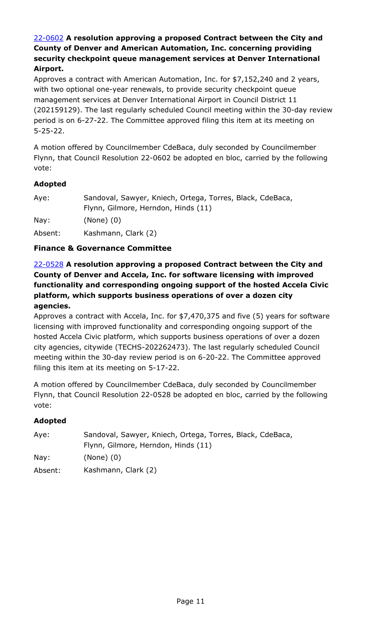## 22-0602 **A resolution approving a proposed Contract between the City and County of Denver and American Automation, Inc. concerning providing security checkpoint queue management services at Denver International Airport.**

Approves a contract with American Automation, Inc. for \$7,152,240 and 2 years, with two optional one-year renewals, to provide security checkpoint queue management services at Denver International Airport in Council District 11 [\(202159129\). The last regularly scheduled Council meeting within the 30-day review](http://denver.legistar.com/gateway.aspx?m=l&id=/matter.aspx?key=21669)  period is on 6-27-22. The Committee approved filing this item at its meeting on 5-25-22.

A motion offered by Councilmember CdeBaca, duly seconded by Councilmember Flynn, that Council Resolution 22-0602 be adopted en bloc, carried by the following vote:

## **Adopted**

| Aye:    | Sandoval, Sawyer, Kniech, Ortega, Torres, Black, CdeBaca, |
|---------|-----------------------------------------------------------|
|         | Flynn, Gilmore, Herndon, Hinds (11)                       |
| Nay:    | $(None)$ $(0)$                                            |
| Absent: | Kashmann, Clark (2)                                       |

## **Finance & Governance Committee**

22-0528 **A resolution approving a proposed Contract between the City and County of Denver and Accela, Inc. for software licensing with improved functionality and corresponding ongoing support of the hosted Accela Civic platform, which supports business operations of over a dozen city agencies.**

[Approves a contract with Accela, Inc. for \\$7,470,375 and five \(5\) years for software](http://denver.legistar.com/gateway.aspx?m=l&id=/matter.aspx?key=21595)  licensing with improved functionality and corresponding ongoing support of the hosted Accela Civic platform, which supports business operations of over a dozen city agencies, citywide (TECHS-202262473). The last regularly scheduled Council meeting within the 30-day review period is on 6-20-22. The Committee approved filing this item at its meeting on 5-17-22.

A motion offered by Councilmember CdeBaca, duly seconded by Councilmember Flynn, that Council Resolution 22-0528 be adopted en bloc, carried by the following vote:

| Ave:    | Sandoval, Sawyer, Kniech, Ortega, Torres, Black, CdeBaca, |
|---------|-----------------------------------------------------------|
|         | Flynn, Gilmore, Herndon, Hinds (11)                       |
| Nay:    | $(None)$ $(0)$                                            |
| Absent: | Kashmann, Clark (2)                                       |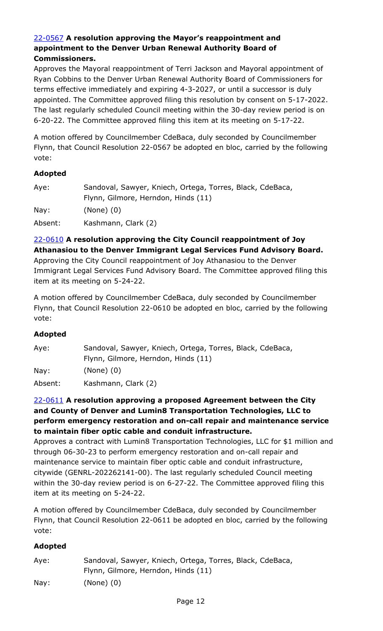#### 22-0567 **A resolution approving the Mayor's reappointment and appointment to the Denver Urban Renewal Authority Board of Commissioners.**

Approves the Mayoral reappointment of Terri Jackson and Mayoral appointment of Ryan Cobbins to the Denver Urban Renewal Authority Board of Commissioners for terms effective immediately and expiring 4-3-2027, or until a successor is duly [appointed. The Committee approved filing this resolution by consent on 5-17-2022.](http://denver.legistar.com/gateway.aspx?m=l&id=/matter.aspx?key=21634)  The last regularly scheduled Council meeting within the 30-day review period is on 6-20-22. The Committee approved filing this item at its meeting on 5-17-22.

A motion offered by Councilmember CdeBaca, duly seconded by Councilmember Flynn, that Council Resolution 22-0567 be adopted en bloc, carried by the following vote:

#### **Adopted**

| Aye:    | Sandoval, Sawyer, Kniech, Ortega, Torres, Black, CdeBaca, |
|---------|-----------------------------------------------------------|
|         | Flynn, Gilmore, Herndon, Hinds (11)                       |
| Nay:    | $(None)$ $(0)$                                            |
| Absent: | Kashmann, Clark (2)                                       |

22-0610 **A resolution approving the City Council reappointment of Joy Athanasiou to the Denver Immigrant Legal Services Fund Advisory Board.** Approving the City Council reappointment of Joy Athanasiou to the Denver

[Immigrant Legal Services Fund Advisory Board. The Committee approved filing this](http://denver.legistar.com/gateway.aspx?m=l&id=/matter.aspx?key=21677)  item at its meeting on 5-24-22.

A motion offered by Councilmember CdeBaca, duly seconded by Councilmember Flynn, that Council Resolution 22-0610 be adopted en bloc, carried by the following vote:

### **Adopted**

| Aye:    | Sandoval, Sawyer, Kniech, Ortega, Torres, Black, CdeBaca, |
|---------|-----------------------------------------------------------|
|         | Flynn, Gilmore, Herndon, Hinds (11)                       |
| Nay:    | $(None)$ $(0)$                                            |
| Absent: | Kashmann, Clark (2)                                       |

### 22-0611 **A resolution approving a proposed Agreement between the City and County of Denver and Lumin8 Transportation Technologies, LLC to perform emergency restoration and on-call repair and maintenance service to maintain fiber optic cable and conduit infrastructure.**

[Approves a contract with Lumin8 Transportation Technologies, LLC for \\$1 million and](http://denver.legistar.com/gateway.aspx?m=l&id=/matter.aspx?key=21678)  through 06-30-23 to perform emergency restoration and on-call repair and maintenance service to maintain fiber optic cable and conduit infrastructure, citywide (GENRL-202262141-00). The last regularly scheduled Council meeting within the 30-day review period is on 6-27-22. The Committee approved filing this item at its meeting on 5-24-22.

A motion offered by Councilmember CdeBaca, duly seconded by Councilmember Flynn, that Council Resolution 22-0611 be adopted en bloc, carried by the following vote:

| Aye: | Sandoval, Sawyer, Kniech, Ortega, Torres, Black, CdeBaca, |
|------|-----------------------------------------------------------|
|      | Flynn, Gilmore, Herndon, Hinds (11)                       |
| Nay: | $(None)$ $(0)$                                            |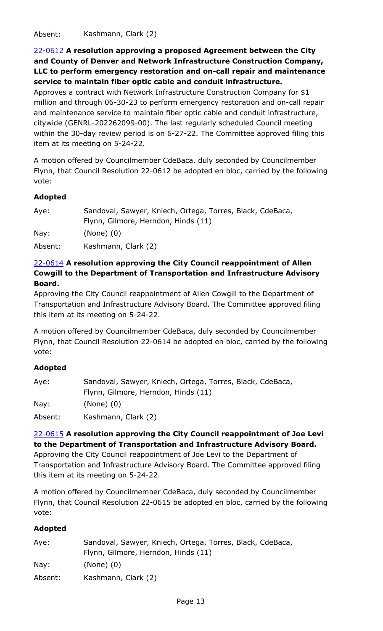Absent: Kashmann, Clark (2)

22-0612 **A resolution approving a proposed Agreement between the City and County of Denver and Network Infrastructure Construction Company, [LLC to perform emergency restoration and on-call repair and maintenance](http://denver.legistar.com/gateway.aspx?m=l&id=/matter.aspx?key=21679)  service to maintain fiber optic cable and conduit infrastructure.**

Approves a contract with Network Infrastructure Construction Company for \$1 million and through 06-30-23 to perform emergency restoration and on-call repair and maintenance service to maintain fiber optic cable and conduit infrastructure, citywide (GENRL-202262099-00). The last regularly scheduled Council meeting within the 30-day review period is on 6-27-22. The Committee approved filing this item at its meeting on 5-24-22.

A motion offered by Councilmember CdeBaca, duly seconded by Councilmember Flynn, that Council Resolution 22-0612 be adopted en bloc, carried by the following vote:

### **Adopted**

| Aye:    | Sandoval, Sawyer, Kniech, Ortega, Torres, Black, CdeBaca, |
|---------|-----------------------------------------------------------|
|         | Flynn, Gilmore, Herndon, Hinds (11)                       |
| Nay:    | $(None)$ $(0)$                                            |
| Absent: | Kashmann, Clark (2)                                       |

## 22-0614 **A resolution approving the City Council reappointment of Allen Cowgill to the Department of Transportation and Infrastructure Advisory Board.**

Approving the City Council reappointment of Allen Cowgill to the Department of [Transportation and Infrastructure Advisory Board. The Committee approved filing](http://denver.legistar.com/gateway.aspx?m=l&id=/matter.aspx?key=21681)  this item at its meeting on 5-24-22.

A motion offered by Councilmember CdeBaca, duly seconded by Councilmember Flynn, that Council Resolution 22-0614 be adopted en bloc, carried by the following vote:

#### **Adopted**

| Aye:    | Sandoval, Sawyer, Kniech, Ortega, Torres, Black, CdeBaca, |
|---------|-----------------------------------------------------------|
|         | Flynn, Gilmore, Herndon, Hinds (11)                       |
| Nay:    | $(None)$ $(0)$                                            |
| Absent: | Kashmann, Clark (2)                                       |

22-0615 **A resolution approving the City Council reappointment of Joe Levi to the Department of Transportation and Infrastructure Advisory Board.** Approving the City Council reappointment of Joe Levi to the Department of [Transportation and Infrastructure Advisory Board. The Committee approved filing](http://denver.legistar.com/gateway.aspx?m=l&id=/matter.aspx?key=21682)  this item at its meeting on 5-24-22.

A motion offered by Councilmember CdeBaca, duly seconded by Councilmember Flynn, that Council Resolution 22-0615 be adopted en bloc, carried by the following vote:

| Aye:    | Sandoval, Sawyer, Kniech, Ortega, Torres, Black, CdeBaca, |
|---------|-----------------------------------------------------------|
|         | Flynn, Gilmore, Herndon, Hinds (11)                       |
| Nay:    | $(None)$ $(0)$                                            |
| Absent: | Kashmann, Clark (2)                                       |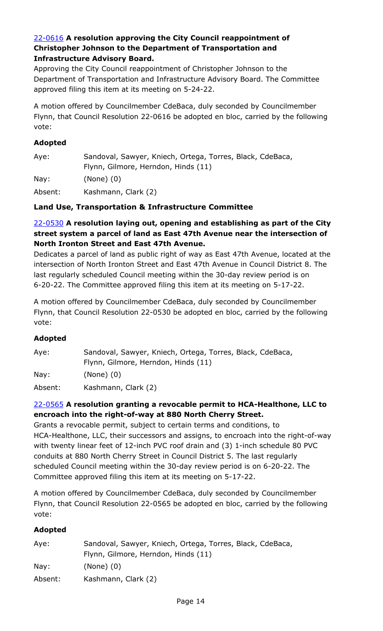#### 22-0616 **A resolution approving the City Council reappointment of Christopher Johnson to the Department of Transportation and Infrastructure Advisory Board.**

Approving the City Council reappointment of Christopher Johnson to the [Department of Transportation and Infrastructure Advisory Board. The Committee](http://denver.legistar.com/gateway.aspx?m=l&id=/matter.aspx?key=21683)  approved filing this item at its meeting on 5-24-22.

A motion offered by Councilmember CdeBaca, duly seconded by Councilmember Flynn, that Council Resolution 22-0616 be adopted en bloc, carried by the following vote:

#### **Adopted**

| Aye: | Sandoval, Sawyer, Kniech, Ortega, Torres, Black, CdeBaca, |
|------|-----------------------------------------------------------|
|      | Flynn, Gilmore, Herndon, Hinds (11)                       |
| Nay: | $(None)$ $(0)$                                            |

Absent: Kashmann, Clark (2)

### **Land Use, Transportation & Infrastructure Committee**

## 22-0530 **A resolution laying out, opening and establishing as part of the City street system a parcel of land as East 47th Avenue near the intersection of North Ironton Street and East 47th Avenue.**

[Dedicates a parcel of land as public right of way as East 47th Avenue, located at the](http://denver.legistar.com/gateway.aspx?m=l&id=/matter.aspx?key=21597)  intersection of North Ironton Street and East 47th Avenue in Council District 8. The last regularly scheduled Council meeting within the 30-day review period is on 6-20-22. The Committee approved filing this item at its meeting on 5-17-22.

A motion offered by Councilmember CdeBaca, duly seconded by Councilmember Flynn, that Council Resolution 22-0530 be adopted en bloc, carried by the following vote:

### **Adopted**

| Aye:            | Sandoval, Sawyer, Kniech, Ortega, Torres, Black, CdeBaca,<br>Flynn, Gilmore, Herndon, Hinds (11) |
|-----------------|--------------------------------------------------------------------------------------------------|
| $\textsf{Nav:}$ | $(None)$ $(0)$                                                                                   |
| Absent:         | Kashmann, Clark (2)                                                                              |

## 22-0565 **A resolution granting a revocable permit to HCA-Healthone, LLC to encroach into the right-of-way at 880 North Cherry Street.**

Grants a revocable permit, subject to certain terms and conditions, to [HCA-Healthone, LLC, their successors and assigns, to encroach into the right-of-way](http://denver.legistar.com/gateway.aspx?m=l&id=/matter.aspx?key=21632)  with twenty linear feet of 12-inch PVC roof drain and (3) 1-inch schedule 80 PVC conduits at 880 North Cherry Street in Council District 5. The last regularly scheduled Council meeting within the 30-day review period is on 6-20-22. The Committee approved filing this item at its meeting on 5-17-22.

A motion offered by Councilmember CdeBaca, duly seconded by Councilmember Flynn, that Council Resolution 22-0565 be adopted en bloc, carried by the following vote:

| Aye:    | Sandoval, Sawyer, Kniech, Ortega, Torres, Black, CdeBaca, |
|---------|-----------------------------------------------------------|
|         | Flynn, Gilmore, Herndon, Hinds (11)                       |
| Nay:    | $(None)$ $(0)$                                            |
| Absent: | Kashmann, Clark (2)                                       |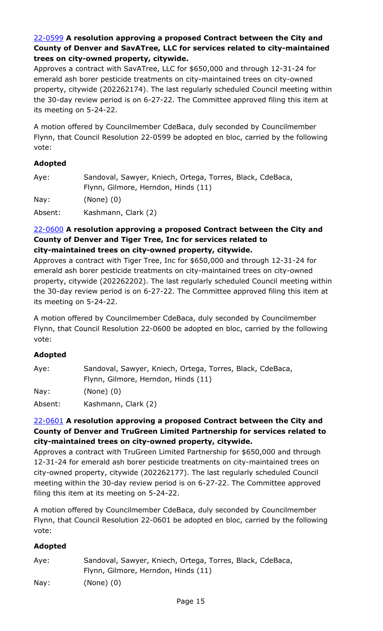## 22-0599 **A resolution approving a proposed Contract between the City and County of Denver and SavATree, LLC for services related to city-maintained trees on city-owned property, citywide.**

Approves a contract with SavATree, LLC for \$650,000 and through 12-31-24 for emerald ash borer pesticide treatments on city-maintained trees on city-owned [property, citywide \(202262174\). The last regularly scheduled Council meeting within](http://denver.legistar.com/gateway.aspx?m=l&id=/matter.aspx?key=21666)  the 30-day review period is on 6-27-22. The Committee approved filing this item at its meeting on 5-24-22.

A motion offered by Councilmember CdeBaca, duly seconded by Councilmember Flynn, that Council Resolution 22-0599 be adopted en bloc, carried by the following vote:

## **Adopted**

| Aye:    | Sandoval, Sawyer, Kniech, Ortega, Torres, Black, CdeBaca,<br>Flynn, Gilmore, Herndon, Hinds (11) |
|---------|--------------------------------------------------------------------------------------------------|
| Nay:    | $(None)$ $(0)$                                                                                   |
| Absent: | Kashmann, Clark (2)                                                                              |

#### 22-0600 **A resolution approving a proposed Contract between the City and County of Denver and Tiger Tree, Inc for services related to city-maintained trees on city-owned property, citywide.**

Approves a contract with Tiger Tree, Inc for \$650,000 and through 12-31-24 for emerald ash borer pesticide treatments on city-maintained trees on city-owned [property, citywide \(202262202\). The last regularly scheduled Council meeting within](http://denver.legistar.com/gateway.aspx?m=l&id=/matter.aspx?key=21667)  the 30-day review period is on 6-27-22. The Committee approved filing this item at its meeting on 5-24-22.

A motion offered by Councilmember CdeBaca, duly seconded by Councilmember Flynn, that Council Resolution 22-0600 be adopted en bloc, carried by the following vote:

## **Adopted**

| Aye:    | Sandoval, Sawyer, Kniech, Ortega, Torres, Black, CdeBaca, |
|---------|-----------------------------------------------------------|
|         | Flynn, Gilmore, Herndon, Hinds (11)                       |
| Nay:    | $(None)$ $(0)$                                            |
| Absent: | Kashmann, Clark (2)                                       |

## 22-0601 **A resolution approving a proposed Contract between the City and [County of Denver and TruGreen Limited Partnership for services related to](http://denver.legistar.com/gateway.aspx?m=l&id=/matter.aspx?key=21668)  city-maintained trees on city-owned property, citywide.**

Approves a contract with TruGreen Limited Partnership for \$650,000 and through 12-31-24 for emerald ash borer pesticide treatments on city-maintained trees on city-owned property, citywide (202262177). The last regularly scheduled Council meeting within the 30-day review period is on 6-27-22. The Committee approved filing this item at its meeting on 5-24-22.

A motion offered by Councilmember CdeBaca, duly seconded by Councilmember Flynn, that Council Resolution 22-0601 be adopted en bloc, carried by the following vote:

| Aye: | Sandoval, Sawyer, Kniech, Ortega, Torres, Black, CdeBaca, |
|------|-----------------------------------------------------------|
|      | Flynn, Gilmore, Herndon, Hinds (11)                       |
| Nay: | (None) (0)                                                |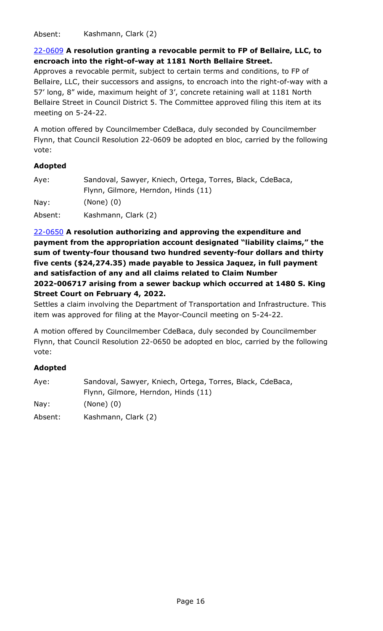Absent: Kashmann, Clark (2)

## 22-0609 **A resolution granting a revocable permit to FP of Bellaire, LLC, to encroach into the right-of-way at 1181 North Bellaire Street.**

Approves a revocable permit, subject to certain terms and conditions, to FP of [Bellaire, LLC, their successors and assigns, to encroach into the right-of-way with a](http://denver.legistar.com/gateway.aspx?m=l&id=/matter.aspx?key=21676)  57' long, 8" wide, maximum height of 3', concrete retaining wall at 1181 North Bellaire Street in Council District 5. The Committee approved filing this item at its meeting on 5-24-22.

A motion offered by Councilmember CdeBaca, duly seconded by Councilmember Flynn, that Council Resolution 22-0609 be adopted en bloc, carried by the following vote:

### **Adopted**

| Aye:    | Sandoval, Sawyer, Kniech, Ortega, Torres, Black, CdeBaca,<br>Flynn, Gilmore, Herndon, Hinds (11) |
|---------|--------------------------------------------------------------------------------------------------|
| Nay:    | $(None)$ $(0)$                                                                                   |
| Absent: | Kashmann, Clark (2)                                                                              |

22-0650 **A resolution authorizing and approving the expenditure and payment from the appropriation account designated "liability claims," the sum of twenty-four thousand two hundred seventy-four dollars and thirty five cents (\$24,274.35) made payable to Jessica Jaquez, in full payment and satisfaction of any and all claims related to Claim Number 2022-006717 arising from a sewer backup which occurred at 1480 S. King Street Court on February 4, 2022.**

[Settles a claim involving the Department of Transportation and Infrastructure. This](http://denver.legistar.com/gateway.aspx?m=l&id=/matter.aspx?key=21717)  item was approved for filing at the Mayor-Council meeting on 5-24-22.

A motion offered by Councilmember CdeBaca, duly seconded by Councilmember Flynn, that Council Resolution 22-0650 be adopted en bloc, carried by the following vote:

| Aye:    | Sandoval, Sawyer, Kniech, Ortega, Torres, Black, CdeBaca, |
|---------|-----------------------------------------------------------|
|         | Flynn, Gilmore, Herndon, Hinds (11)                       |
| Nay:    | $(None)$ $(0)$                                            |
| Absent: | Kashmann, Clark (2)                                       |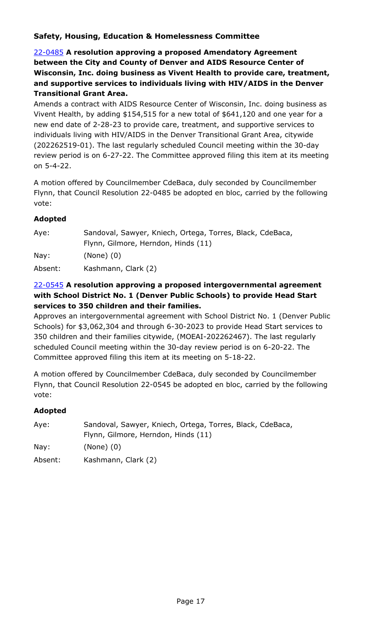## **Safety, Housing, Education & Homelessness Committee**

22-0485 **A resolution approving a proposed Amendatory Agreement between the City and County of Denver and AIDS Resource Center of [Wisconsin, Inc. doing business as Vivent Health to provide care, treatment,](http://denver.legistar.com/gateway.aspx?m=l&id=/matter.aspx?key=21552)  and supportive services to individuals living with HIV/AIDS in the Denver Transitional Grant Area.**

Amends a contract with AIDS Resource Center of Wisconsin, Inc. doing business as Vivent Health, by adding \$154,515 for a new total of \$641,120 and one year for a new end date of 2-28-23 to provide care, treatment, and supportive services to individuals living with HIV/AIDS in the Denver Transitional Grant Area, citywide (202262519-01). The last regularly scheduled Council meeting within the 30-day review period is on 6-27-22. The Committee approved filing this item at its meeting on 5-4-22.

A motion offered by Councilmember CdeBaca, duly seconded by Councilmember Flynn, that Council Resolution 22-0485 be adopted en bloc, carried by the following vote:

### **Adopted**

| Aye:    | Sandoval, Sawyer, Kniech, Ortega, Torres, Black, CdeBaca, |
|---------|-----------------------------------------------------------|
|         | Flynn, Gilmore, Herndon, Hinds (11)                       |
| Nay:    | $(None)$ $(0)$                                            |
| Absent: | Kashmann, Clark (2)                                       |

## 22-0545 **A resolution approving a proposed intergovernmental agreement with School District No. 1 (Denver Public Schools) to provide Head Start services to 350 children and their families.**

[Approves an intergovernmental agreement with School District No. 1 \(Denver Public](http://denver.legistar.com/gateway.aspx?m=l&id=/matter.aspx?key=21612)  Schools) for \$3,062,304 and through 6-30-2023 to provide Head Start services to 350 children and their families citywide, (MOEAI-202262467). The last regularly scheduled Council meeting within the 30-day review period is on 6-20-22. The Committee approved filing this item at its meeting on 5-18-22.

A motion offered by Councilmember CdeBaca, duly seconded by Councilmember Flynn, that Council Resolution 22-0545 be adopted en bloc, carried by the following vote:

| Aye:    | Sandoval, Sawyer, Kniech, Ortega, Torres, Black, CdeBaca, |
|---------|-----------------------------------------------------------|
|         | Flynn, Gilmore, Herndon, Hinds (11)                       |
| Nay:    | $(None)$ $(0)$                                            |
| Absent: | Kashmann, Clark (2)                                       |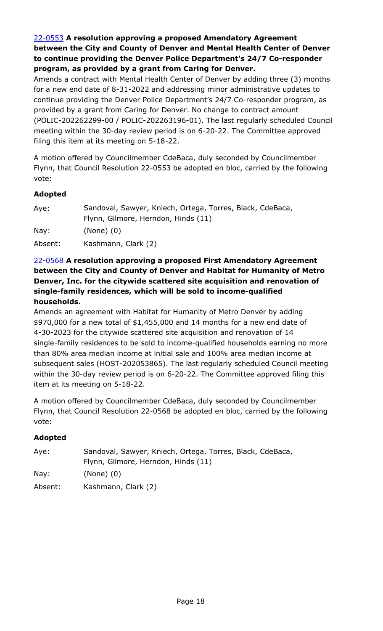## 22-0553 **A resolution approving a proposed Amendatory Agreement between the City and County of Denver and Mental Health Center of Denver to continue providing the Denver Police Department's 24/7 Co-responder program, as provided by a grant from Caring for Denver.**

Amends a contract with Mental Health Center of Denver by adding three (3) months for a new end date of 8-31-2022 and addressing minor administrative updates to continue providing the Denver Police Department's 24/7 Co-responder program, as provided by a grant from Caring for Denver. No change to contract amount [\(POLIC-202262299-00 / POLIC-202263196-01\). The last regularly scheduled Council](http://denver.legistar.com/gateway.aspx?m=l&id=/matter.aspx?key=21620)  meeting within the 30-day review period is on 6-20-22. The Committee approved filing this item at its meeting on 5-18-22.

A motion offered by Councilmember CdeBaca, duly seconded by Councilmember Flynn, that Council Resolution 22-0553 be adopted en bloc, carried by the following vote:

### **Adopted**

| Aye:    | Sandoval, Sawyer, Kniech, Ortega, Torres, Black, CdeBaca,<br>Flynn, Gilmore, Herndon, Hinds (11) |
|---------|--------------------------------------------------------------------------------------------------|
| Nay:    | $(None)$ $(0)$                                                                                   |
| Absent: | Kashmann, Clark (2)                                                                              |

## 22-0568 **A resolution approving a proposed First Amendatory Agreement between the City and County of Denver and Habitat for Humanity of Metro Denver, Inc. for the citywide scattered site acquisition and renovation of single-family residences, which will be sold to income-qualified households.**

Amends an agreement with Habitat for Humanity of Metro Denver by adding \$970,000 for a new total of \$1,455,000 and 14 months for a new end date of 4-30-2023 for the citywide scattered site acquisition and renovation of 14 single-family residences to be sold to income-qualified households earning no more than 80% area median income at initial sale and 100% area median income at [subsequent sales \(HOST-202053865\). The last regularly scheduled Council meeting](http://denver.legistar.com/gateway.aspx?m=l&id=/matter.aspx?key=21635)  within the 30-day review period is on 6-20-22. The Committee approved filing this item at its meeting on 5-18-22.

A motion offered by Councilmember CdeBaca, duly seconded by Councilmember Flynn, that Council Resolution 22-0568 be adopted en bloc, carried by the following vote:

| Aye:            | Sandoval, Sawyer, Kniech, Ortega, Torres, Black, CdeBaca,<br>Flynn, Gilmore, Herndon, Hinds (11) |
|-----------------|--------------------------------------------------------------------------------------------------|
| $\textsf{Nav:}$ | $(None)$ $(0)$                                                                                   |
| Absent:         | Kashmann, Clark (2)                                                                              |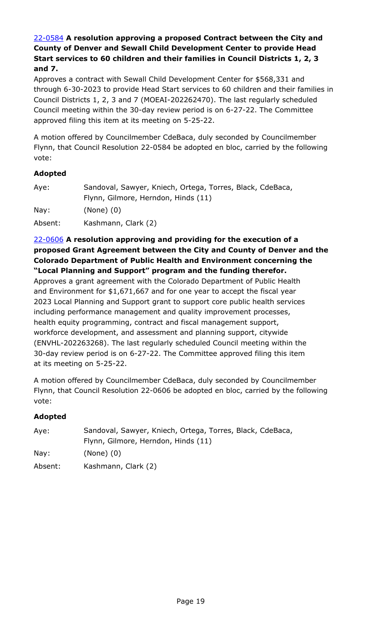## 22-0584 **A resolution approving a proposed Contract between the City and County of Denver and Sewall Child Development Center to provide Head Start services to 60 children and their families in Council Districts 1, 2, 3 and 7.**

Approves a contract with Sewall Child Development Center for \$568,331 and [through 6-30-2023 to provide Head Start services to 60 children and their families in](http://denver.legistar.com/gateway.aspx?m=l&id=/matter.aspx?key=21651)  Council Districts 1, 2, 3 and 7 (MOEAI-202262470). The last regularly scheduled Council meeting within the 30-day review period is on 6-27-22. The Committee approved filing this item at its meeting on 5-25-22.

A motion offered by Councilmember CdeBaca, duly seconded by Councilmember Flynn, that Council Resolution 22-0584 be adopted en bloc, carried by the following vote:

#### **Adopted**

| Aye:            | Sandoval, Sawyer, Kniech, Ortega, Torres, Black, CdeBaca, |
|-----------------|-----------------------------------------------------------|
|                 | Flynn, Gilmore, Herndon, Hinds (11)                       |
| $\textsf{Nay}:$ | $(None)$ $(0)$                                            |
| Absent:         | Kashmann, Clark (2)                                       |

### 22-0606 **A resolution approving and providing for the execution of a [proposed Grant Agreement between the City and County of Denver and the](http://denver.legistar.com/gateway.aspx?m=l&id=/matter.aspx?key=21673)  Colorado Department of Public Health and Environment concerning the "Local Planning and Support" program and the funding therefor.**

Approves a grant agreement with the Colorado Department of Public Health and Environment for \$1,671,667 and for one year to accept the fiscal year 2023 Local Planning and Support grant to support core public health services including performance management and quality improvement processes, health equity programming, contract and fiscal management support, workforce development, and assessment and planning support, citywide (ENVHL-202263268). The last regularly scheduled Council meeting within the 30-day review period is on 6-27-22. The Committee approved filing this item at its meeting on 5-25-22.

A motion offered by Councilmember CdeBaca, duly seconded by Councilmember Flynn, that Council Resolution 22-0606 be adopted en bloc, carried by the following vote:

| Aye:    | Sandoval, Sawyer, Kniech, Ortega, Torres, Black, CdeBaca, |
|---------|-----------------------------------------------------------|
|         | Flynn, Gilmore, Herndon, Hinds (11)                       |
| Nay:    | $(None)$ $(0)$                                            |
| Absent: | Kashmann, Clark (2)                                       |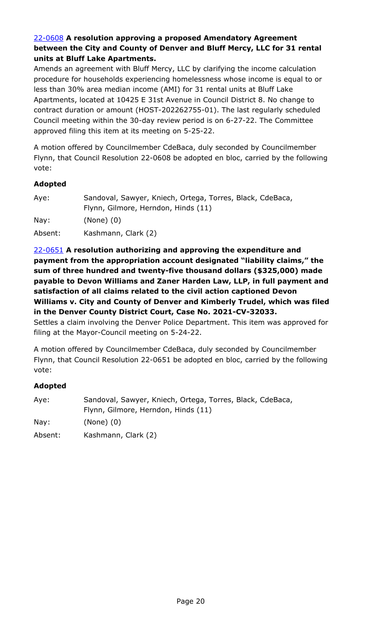### 22-0608 **A resolution approving a proposed Amendatory Agreement between the City and County of Denver and Bluff Mercy, LLC for 31 rental units at Bluff Lake Apartments.**

Amends an agreement with Bluff Mercy, LLC by clarifying the income calculation [procedure for households experiencing homelessness whose income is equal to or](http://denver.legistar.com/gateway.aspx?m=l&id=/matter.aspx?key=21675)  less than 30% area median income (AMI) for 31 rental units at Bluff Lake Apartments, located at 10425 E 31st Avenue in Council District 8. No change to contract duration or amount (HOST-202262755-01). The last regularly scheduled Council meeting within the 30-day review period is on 6-27-22. The Committee approved filing this item at its meeting on 5-25-22.

A motion offered by Councilmember CdeBaca, duly seconded by Councilmember Flynn, that Council Resolution 22-0608 be adopted en bloc, carried by the following vote:

### **Adopted**

| Aye:    | Sandoval, Sawyer, Kniech, Ortega, Torres, Black, CdeBaca, |
|---------|-----------------------------------------------------------|
|         | Flynn, Gilmore, Herndon, Hinds (11)                       |
| Nay:    | $(None)$ $(0)$                                            |
| Absent: | Kashmann, Clark (2)                                       |

22-0651 **A resolution authorizing and approving the expenditure and payment from the appropriation account designated "liability claims," the sum of three hundred and twenty-five thousand dollars (\$325,000) made payable to Devon Williams and Zaner Harden Law, LLP, in full payment and satisfaction of all claims related to the civil action captioned Devon [Williams v. City and County of Denver and Kimberly Trudel, which was filed](http://denver.legistar.com/gateway.aspx?m=l&id=/matter.aspx?key=21718)  in the Denver County District Court, Case No. 2021-CV-32033.**

Settles a claim involving the Denver Police Department. This item was approved for filing at the Mayor-Council meeting on 5-24-22.

A motion offered by Councilmember CdeBaca, duly seconded by Councilmember Flynn, that Council Resolution 22-0651 be adopted en bloc, carried by the following vote:

| Aye:    | Sandoval, Sawyer, Kniech, Ortega, Torres, Black, CdeBaca, |
|---------|-----------------------------------------------------------|
|         | Flynn, Gilmore, Herndon, Hinds (11)                       |
| Nay:    | $(None)$ $(0)$                                            |
| Absent: | Kashmann, Clark (2)                                       |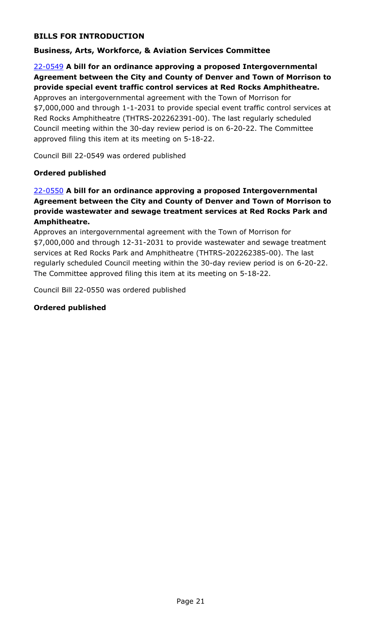## **BILLS FOR INTRODUCTION**

### **Business, Arts, Workforce, & Aviation Services Committee**

## 22-0549 **A bill for an ordinance approving a proposed Intergovernmental [Agreement between the City and County of Denver and Town of Morrison to](http://denver.legistar.com/gateway.aspx?m=l&id=/matter.aspx?key=21616)  provide special event traffic control services at Red Rocks Amphitheatre.**

Approves an intergovernmental agreement with the Town of Morrison for \$7,000,000 and through 1-1-2031 to provide special event traffic control services at Red Rocks Amphitheatre (THTRS-202262391-00). The last regularly scheduled Council meeting within the 30-day review period is on 6-20-22. The Committee approved filing this item at its meeting on 5-18-22.

Council Bill 22-0549 was ordered published

### **Ordered published**

## 22-0550 **A bill for an ordinance approving a proposed Intergovernmental [Agreement between the City and County of Denver and Town of Morrison to](http://denver.legistar.com/gateway.aspx?m=l&id=/matter.aspx?key=21617)  provide wastewater and sewage treatment services at Red Rocks Park and Amphitheatre.**

Approves an intergovernmental agreement with the Town of Morrison for \$7,000,000 and through 12-31-2031 to provide wastewater and sewage treatment services at Red Rocks Park and Amphitheatre (THTRS-202262385-00). The last regularly scheduled Council meeting within the 30-day review period is on 6-20-22. The Committee approved filing this item at its meeting on 5-18-22.

Council Bill 22-0550 was ordered published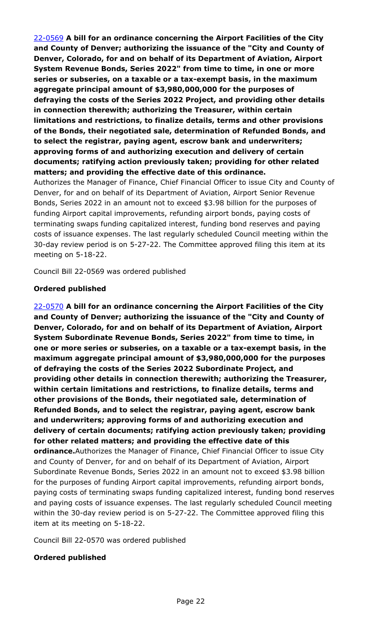22-0569 **A bill for an ordinance concerning the Airport Facilities of the City and County of Denver; authorizing the issuance of the "City and County of Denver, Colorado, for and on behalf of its Department of Aviation, Airport System Revenue Bonds, Series 2022" from time to time, in one or more series or subseries, on a taxable or a tax-exempt basis, in the maximum aggregate principal amount of \$3,980,000,000 for the purposes of defraying the costs of the Series 2022 Project, and providing other details in connection therewith; authorizing the Treasurer, within certain limitations and restrictions, to finalize details, terms and other provisions of the Bonds, their negotiated sale, determination of Refunded Bonds, and to select the registrar, paying agent, escrow bank and underwriters; approving forms of and authorizing execution and delivery of certain documents; ratifying action previously taken; providing for other related matters; and providing the effective date of this ordinance.**

[Authorizes the Manager of Finance, Chief Financial Officer to issue City and County of](http://denver.legistar.com/gateway.aspx?m=l&id=/matter.aspx?key=21636)  Denver, for and on behalf of its Department of Aviation, Airport Senior Revenue Bonds, Series 2022 in an amount not to exceed \$3.98 billion for the purposes of funding Airport capital improvements, refunding airport bonds, paying costs of terminating swaps funding capitalized interest, funding bond reserves and paying costs of issuance expenses. The last regularly scheduled Council meeting within the 30-day review period is on 5-27-22. The Committee approved filing this item at its meeting on 5-18-22.

Council Bill 22-0569 was ordered published

### **Ordered published**

22-0570 **A bill for an ordinance concerning the Airport Facilities of the City and County of Denver; authorizing the issuance of the "City and County of Denver, Colorado, for and on behalf of its Department of Aviation, Airport System Subordinate Revenue Bonds, Series 2022" from time to time, in one or more series or subseries, on a taxable or a tax-exempt basis, in the maximum aggregate principal amount of \$3,980,000,000 for the purposes of defraying the costs of the Series 2022 Subordinate Project, and providing other details in connection therewith; authorizing the Treasurer, within certain limitations and restrictions, to finalize details, terms and other provisions of the Bonds, their negotiated sale, determination of Refunded Bonds, and to select the registrar, paying agent, escrow bank and underwriters; approving forms of and authorizing execution and delivery of certain documents; ratifying action previously taken; providing for other related matters; and providing the effective date of this ordinance.**Authorizes the Manager of Finance, Chief Financial Officer to issue City and County of Denver, for and on behalf of its Department of Aviation, Airport Subordinate Revenue Bonds, Series 2022 in an amount not to exceed \$3.98 billion for the purposes of funding Airport capital improvements, refunding airport bonds, [paying costs of terminating swaps funding capitalized interest, funding bond reserves](http://denver.legistar.com/gateway.aspx?m=l&id=/matter.aspx?key=21637)  and paying costs of issuance expenses. The last regularly scheduled Council meeting within the 30-day review period is on 5-27-22. The Committee approved filing this item at its meeting on 5-18-22.

Council Bill 22-0570 was ordered published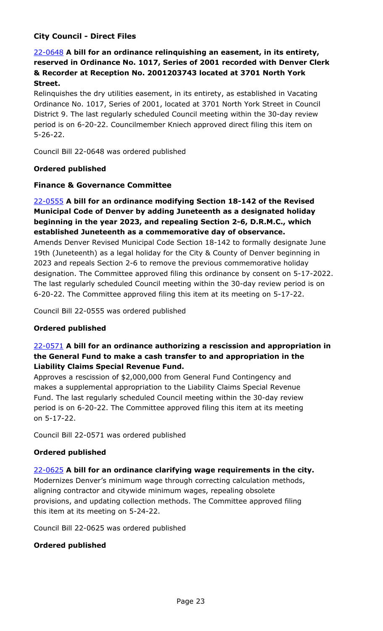## **City Council - Direct Files**

## 22-0648 **A bill for an ordinance relinquishing an easement, in its entirety, [reserved in Ordinance No. 1017, Series of 2001 recorded with Denver Clerk](http://denver.legistar.com/gateway.aspx?m=l&id=/matter.aspx?key=21715)  & Recorder at Reception No. 2001203743 located at 3701 North York Street.**

Relinquishes the dry utilities easement, in its entirety, as established in Vacating Ordinance No. 1017, Series of 2001, located at 3701 North York Street in Council District 9. The last regularly scheduled Council meeting within the 30-day review period is on 6-20-22. Councilmember Kniech approved direct filing this item on 5-26-22.

Council Bill 22-0648 was ordered published

#### **Ordered published**

#### **Finance & Governance Committee**

## 22-0555 **A bill for an ordinance modifying Section 18-142 of the Revised Municipal Code of Denver by adding Juneteenth as a designated holiday beginning in the year 2023, and repealing Section 2-6, D.R.M.C., which established Juneteenth as a commemorative day of observance.**

Amends Denver Revised Municipal Code Section 18-142 to formally designate June 19th (Juneteenth) as a legal holiday for the City & County of Denver beginning in 2023 and repeals Section 2-6 to remove the previous commemorative holiday [designation. The Committee approved filing this ordinance by consent on 5-17-2022.](http://denver.legistar.com/gateway.aspx?m=l&id=/matter.aspx?key=21622)  The last regularly scheduled Council meeting within the 30-day review period is on 6-20-22. The Committee approved filing this item at its meeting on 5-17-22.

Council Bill 22-0555 was ordered published

#### **Ordered published**

### 22-0571 **A bill for an ordinance authorizing a rescission and appropriation in [the General Fund to make a cash transfer to and appropriation in the](http://denver.legistar.com/gateway.aspx?m=l&id=/matter.aspx?key=21638)  Liability Claims Special Revenue Fund.**

Approves a rescission of \$2,000,000 from General Fund Contingency and makes a supplemental appropriation to the Liability Claims Special Revenue Fund. The last regularly scheduled Council meeting within the 30-day review period is on 6-20-22. The Committee approved filing this item at its meeting on 5-17-22.

Council Bill 22-0571 was ordered published

#### **Ordered published**

#### 22-0625 **A bill for an ordinance clarifying wage requirements in the city.**

[Modernizes Denver's minimum wage through correcting calculation methods,](http://denver.legistar.com/gateway.aspx?m=l&id=/matter.aspx?key=21692)  aligning contractor and citywide minimum wages, repealing obsolete provisions, and updating collection methods. The Committee approved filing this item at its meeting on 5-24-22.

Council Bill 22-0625 was ordered published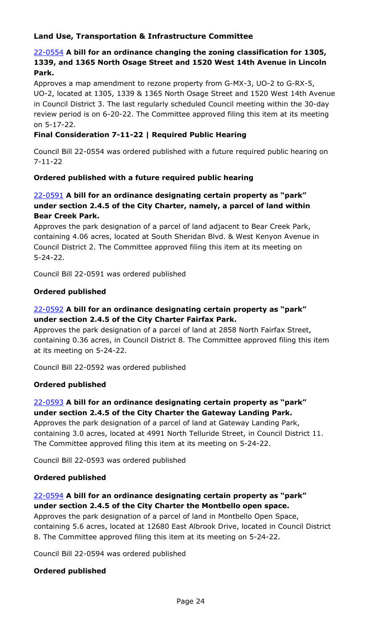## **Land Use, Transportation & Infrastructure Committee**

## 22-0554 **A bill for an ordinance changing the zoning classification for 1305, 1339, and 1365 North Osage Street and 1520 West 14th Avenue in Lincoln Park.**

Approves a map amendment to rezone property from G-MX-3, UO-2 to G-RX-5, [UO-2, located at 1305, 1339 & 1365 North Osage Street and 1520 West 14th Avenue](http://denver.legistar.com/gateway.aspx?m=l&id=/matter.aspx?key=21621)  in Council District 3. The last regularly scheduled Council meeting within the 30-day review period is on 6-20-22. The Committee approved filing this item at its meeting on 5-17-22.

### **Final Consideration 7-11-22 | Required Public Hearing**

Council Bill 22-0554 was ordered published with a future required public hearing on 7-11-22

#### **Ordered published with a future required public hearing**

### 22-0591 **A bill for an ordinance designating certain property as "park" under section 2.4.5 of the City Charter, namely, a parcel of land within Bear Creek Park.**

Approves the park designation of a parcel of land adjacent to Bear Creek Park, [containing 4.06 acres, located at South Sheridan Blvd. & West Kenyon Avenue in](http://denver.legistar.com/gateway.aspx?m=l&id=/matter.aspx?key=21658)  Council District 2. The Committee approved filing this item at its meeting on 5-24-22.

Council Bill 22-0591 was ordered published

#### **Ordered published**

## 22-0592 **A bill for an ordinance designating certain property as "park" under section 2.4.5 of the City Charter Fairfax Park.**

Approves the park designation of a parcel of land at 2858 North Fairfax Street, [containing 0.36 acres, in Council District 8. The Committee approved filing this item](http://denver.legistar.com/gateway.aspx?m=l&id=/matter.aspx?key=21659)  at its meeting on 5-24-22.

Council Bill 22-0592 was ordered published

#### **Ordered published**

## 22-0593 **A bill for an ordinance designating certain property as "park" under section 2.4.5 of the City Charter the Gateway Landing Park.**

Approves the park designation of a parcel of land at Gateway Landing Park, [containing 3.0 acres, located at 4991 North Telluride Street, in Council District 11.](http://denver.legistar.com/gateway.aspx?m=l&id=/matter.aspx?key=21660)  The Committee approved filing this item at its meeting on 5-24-22.

Council Bill 22-0593 was ordered published

#### **Ordered published**

## 22-0594 **A bill for an ordinance designating certain property as "park" under section 2.4.5 of the City Charter the Montbello open space.**

Approves the park designation of a parcel of land in Montbello Open Space, [containing 5.6 acres, located at 12680 East Albrook Drive, located in Council District](http://denver.legistar.com/gateway.aspx?m=l&id=/matter.aspx?key=21661)  8. The Committee approved filing this item at its meeting on 5-24-22.

Council Bill 22-0594 was ordered published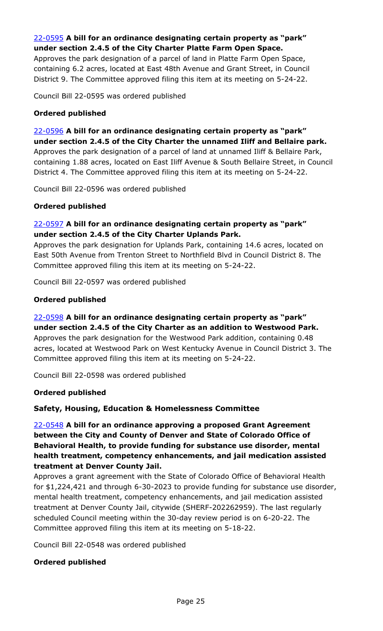## 22-0595 **A bill for an ordinance designating certain property as "park" under section 2.4.5 of the City Charter Platte Farm Open Space.**

Approves the park designation of a parcel of land in Platte Farm Open Space, [containing 6.2 acres, located at East 48th Avenue and Grant Street, in Council](http://denver.legistar.com/gateway.aspx?m=l&id=/matter.aspx?key=21662)  District 9. The Committee approved filing this item at its meeting on 5-24-22.

Council Bill 22-0595 was ordered published

#### **Ordered published**

22-0596 **A bill for an ordinance designating certain property as "park" under section 2.4.5 of the City Charter the unnamed Iliff and Bellaire park.** Approves the park designation of a parcel of land at unnamed Iliff & Bellaire Park, [containing 1.88 acres, located on East Iliff Avenue & South Bellaire Street, in Council](http://denver.legistar.com/gateway.aspx?m=l&id=/matter.aspx?key=21663)  District 4. The Committee approved filing this item at its meeting on 5-24-22.

Council Bill 22-0596 was ordered published

#### **Ordered published**

## 22-0597 **A bill for an ordinance designating certain property as "park" under section 2.4.5 of the City Charter Uplands Park.**

[Approves the park designation for Uplands Park, containing 14.6 acres, located on](http://denver.legistar.com/gateway.aspx?m=l&id=/matter.aspx?key=21664)  East 50th Avenue from Trenton Street to Northfield Blvd in Council District 8. The Committee approved filing this item at its meeting on 5-24-22.

Council Bill 22-0597 was ordered published

#### **Ordered published**

22-0598 **A bill for an ordinance designating certain property as "park" under section 2.4.5 of the City Charter as an addition to Westwood Park.** Approves the park designation for the Westwood Park addition, containing 0.48 [acres, located at Westwood Park on West Kentucky Avenue in Council District 3. The](http://denver.legistar.com/gateway.aspx?m=l&id=/matter.aspx?key=21665)  Committee approved filing this item at its meeting on 5-24-22.

Council Bill 22-0598 was ordered published

#### **Ordered published**

#### **Safety, Housing, Education & Homelessness Committee**

## 22-0548 **A bill for an ordinance approving a proposed Grant Agreement between the City and County of Denver and State of Colorado Office of Behavioral Health, to provide funding for substance use disorder, mental health treatment, competency enhancements, and jail medication assisted treatment at Denver County Jail.**

Approves a grant agreement with the State of Colorado Office of Behavioral Health [for \\$1,224,421 and through 6-30-2023 to provide funding for substance use disorder,](http://denver.legistar.com/gateway.aspx?m=l&id=/matter.aspx?key=21615)  mental health treatment, competency enhancements, and jail medication assisted treatment at Denver County Jail, citywide (SHERF-202262959). The last regularly scheduled Council meeting within the 30-day review period is on 6-20-22. The Committee approved filing this item at its meeting on 5-18-22.

Council Bill 22-0548 was ordered published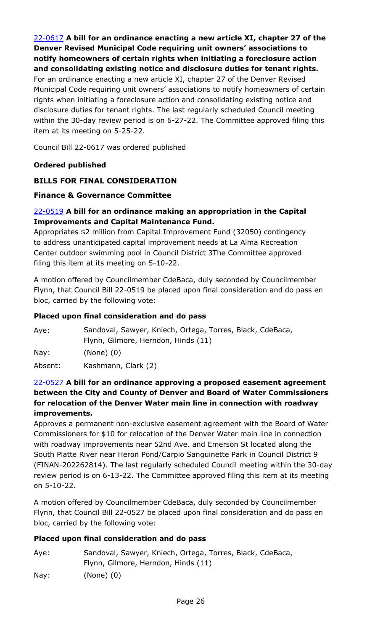22-0617 **A bill for an ordinance enacting a new article XI, chapter 27 of the Denver Revised Municipal Code requiring unit owners' associations to notify homeowners of certain rights when initiating a foreclosure action and consolidating existing notice and disclosure duties for tenant rights.** 

For an ordinance enacting a new article XI, chapter 27 of the Denver Revised [Municipal Code requiring unit owners' associations to notify homeowners of certain](http://denver.legistar.com/gateway.aspx?m=l&id=/matter.aspx?key=21684)  rights when initiating a foreclosure action and consolidating existing notice and disclosure duties for tenant rights. The last regularly scheduled Council meeting within the 30-day review period is on 6-27-22. The Committee approved filing this item at its meeting on 5-25-22.

Council Bill 22-0617 was ordered published

### **Ordered published**

### **BILLS FOR FINAL CONSIDERATION**

#### **Finance & Governance Committee**

#### 22-0519 **A bill for an ordinance making an appropriation in the Capital Improvements and Capital Maintenance Fund.**

[Appropriates \\$2 million from Capital Improvement Fund \(32050\) contingency](http://denver.legistar.com/gateway.aspx?m=l&id=/matter.aspx?key=21586)  to address unanticipated capital improvement needs at La Alma Recreation Center outdoor swimming pool in Council District 3The Committee approved filing this item at its meeting on 5-10-22.

A motion offered by Councilmember CdeBaca, duly seconded by Councilmember Flynn, that Council Bill 22-0519 be placed upon final consideration and do pass en bloc, carried by the following vote:

#### **Placed upon final consideration and do pass**

| Aye:    | Sandoval, Sawyer, Kniech, Ortega, Torres, Black, CdeBaca, |
|---------|-----------------------------------------------------------|
|         | Flynn, Gilmore, Herndon, Hinds (11)                       |
| Nay:    | $(None)$ $(0)$                                            |
| Absent: | Kashmann, Clark (2)                                       |

#### 22-0527 **A bill for an ordinance approving a proposed easement agreement between the City and County of Denver and Board of Water Commissioners for relocation of the Denver Water main line in connection with roadway improvements.**

Approves a permanent non-exclusive easement agreement with the Board of Water Commissioners for \$10 for relocation of the Denver Water main line in connection with roadway improvements near 52nd Ave. and Emerson St located along the South Platte River near Heron Pond/Carpio Sanguinette Park in Council District 9 [\(FINAN-202262814\). The last regularly scheduled Council meeting within the 30-day](http://denver.legistar.com/gateway.aspx?m=l&id=/matter.aspx?key=21594)  review period is on 6-13-22. The Committee approved filing this item at its meeting on 5-10-22.

A motion offered by Councilmember CdeBaca, duly seconded by Councilmember Flynn, that Council Bill 22-0527 be placed upon final consideration and do pass en bloc, carried by the following vote:

| Aye: | Sandoval, Sawyer, Kniech, Ortega, Torres, Black, CdeBaca, |
|------|-----------------------------------------------------------|
|      | Flynn, Gilmore, Herndon, Hinds (11)                       |
| Nay: | (None) (0)                                                |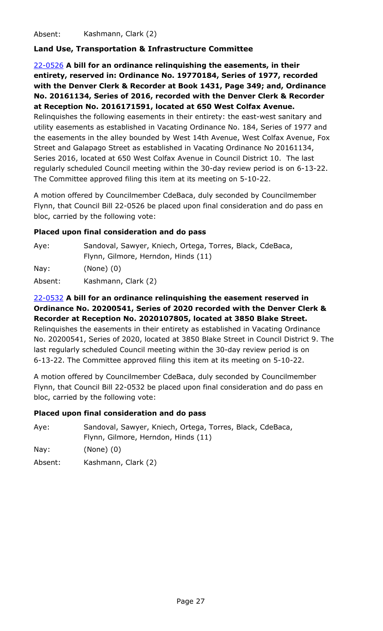Absent: Kashmann, Clark (2)

### **Land Use, Transportation & Infrastructure Committee**

22-0526 **A bill for an ordinance relinquishing the easements, in their entirety, reserved in: Ordinance No. 19770184, Series of 1977, recorded with the Denver Clerk & Recorder at Book 1431, Page 349; and, Ordinance No. 20161134, Series of 2016, recorded with the Denver Clerk & Recorder at Reception No. 2016171591, located at 650 West Colfax Avenue.** Relinquishes the following easements in their entirety: the east-west sanitary and utility easements as established in Vacating Ordinance No. 184, Series of 1977 and [the easements in the alley bounded by West 14th Avenue, West Colfax Avenue, Fox](http://denver.legistar.com/gateway.aspx?m=l&id=/matter.aspx?key=21593)  Street and Galapago Street as established in Vacating Ordinance No 20161134,

Series 2016, located at 650 West Colfax Avenue in Council District 10. The last regularly scheduled Council meeting within the 30-day review period is on 6-13-22. The Committee approved filing this item at its meeting on 5-10-22.

A motion offered by Councilmember CdeBaca, duly seconded by Councilmember Flynn, that Council Bill 22-0526 be placed upon final consideration and do pass en bloc, carried by the following vote:

#### **Placed upon final consideration and do pass**

| Aye:    | Sandoval, Sawyer, Kniech, Ortega, Torres, Black, CdeBaca,<br>Flynn, Gilmore, Herndon, Hinds (11) |
|---------|--------------------------------------------------------------------------------------------------|
| Nay:    | $(None)$ $(0)$                                                                                   |
| Absent: | Kashmann, Clark (2)                                                                              |

# 22-0532 **A bill for an ordinance relinquishing the easement reserved in Ordinance No. 20200541, Series of 2020 recorded with the Denver Clerk & Recorder at Reception No. 2020107805, located at 3850 Blake Street.**

Relinquishes the easements in their entirety as established in Vacating Ordinance [No. 20200541, Series of 2020, located at 3850 Blake Street in Council District 9. The](http://denver.legistar.com/gateway.aspx?m=l&id=/matter.aspx?key=21599)  last regularly scheduled Council meeting within the 30-day review period is on 6-13-22. The Committee approved filing this item at its meeting on 5-10-22.

A motion offered by Councilmember CdeBaca, duly seconded by Councilmember Flynn, that Council Bill 22-0532 be placed upon final consideration and do pass en bloc, carried by the following vote:

#### **Placed upon final consideration and do pass**

| Aye: | Sandoval, Sawyer, Kniech, Ortega, Torres, Black, CdeBaca, |
|------|-----------------------------------------------------------|
|      | Flynn, Gilmore, Herndon, Hinds (11)                       |
| Nay: | $(None)$ $(0)$                                            |

Absent: Kashmann, Clark (2)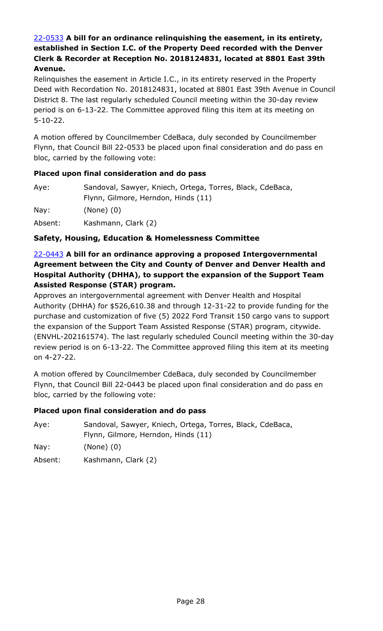## 22-0533 **A bill for an ordinance relinquishing the easement, in its entirety, established in Section I.C. of the Property Deed recorded with the Denver Clerk & Recorder at Reception No. 2018124831, located at 8801 East 39th Avenue.**

Relinquishes the easement in Article I.C., in its entirety reserved in the Property [Deed with Recordation No. 2018124831, located at 8801 East 39th Avenue in Council](http://denver.legistar.com/gateway.aspx?m=l&id=/matter.aspx?key=21600)  District 8. The last regularly scheduled Council meeting within the 30-day review period is on 6-13-22. The Committee approved filing this item at its meeting on 5-10-22.

A motion offered by Councilmember CdeBaca, duly seconded by Councilmember Flynn, that Council Bill 22-0533 be placed upon final consideration and do pass en bloc, carried by the following vote:

#### **Placed upon final consideration and do pass**

| Aye:    | Sandoval, Sawyer, Kniech, Ortega, Torres, Black, CdeBaca, |
|---------|-----------------------------------------------------------|
|         | Flynn, Gilmore, Herndon, Hinds (11)                       |
| Nay:    | $(None)$ $(0)$                                            |
| Absent: | Kashmann, Clark (2)                                       |

#### **Safety, Housing, Education & Homelessness Committee**

## 22-0443 **A bill for an ordinance approving a proposed Intergovernmental Agreement between the City and County of Denver and Denver Health and Hospital Authority (DHHA), to support the expansion of the Support Team Assisted Response (STAR) program.**

Approves an intergovernmental agreement with Denver Health and Hospital Authority (DHHA) for \$526,610.38 and through 12-31-22 to provide funding for the purchase and customization of five (5) 2022 Ford Transit 150 cargo vans to support the expansion of the Support Team Assisted Response (STAR) program, citywide. [\(ENVHL-202161574\). The last regularly scheduled Council meeting within the 30-day](http://denver.legistar.com/gateway.aspx?m=l&id=/matter.aspx?key=21510)  review period is on 6-13-22. The Committee approved filing this item at its meeting on 4-27-22.

A motion offered by Councilmember CdeBaca, duly seconded by Councilmember Flynn, that Council Bill 22-0443 be placed upon final consideration and do pass en bloc, carried by the following vote:

### **Placed upon final consideration and do pass**

Aye: Sandoval, Sawyer, Kniech, Ortega, Torres, Black, CdeBaca, Flynn, Gilmore, Herndon, Hinds (11)

Nay: (None) (0)

Absent: Kashmann, Clark (2)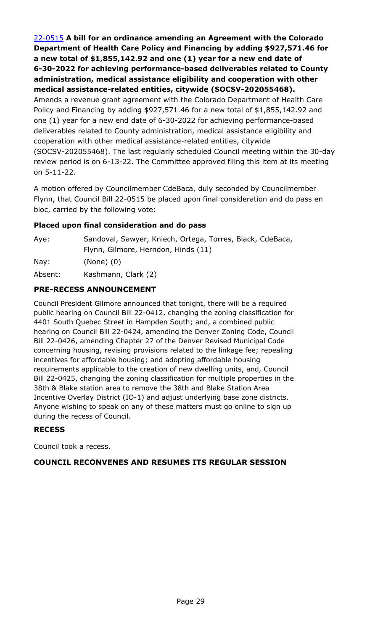22-0515 **A bill for an ordinance amending an Agreement with the Colorado Department of Health Care Policy and Financing by adding \$927,571.46 for a new total of \$1,855,142.92 and one (1) year for a new end date of 6-30-2022 for achieving performance-based deliverables related to County administration, medical assistance eligibility and cooperation with other medical assistance-related entities, citywide (SOCSV-202055468).**

Amends a revenue grant agreement with the Colorado Department of Health Care Policy and Financing by adding \$927,571.46 for a new total of \$1,855,142.92 and one (1) year for a new end date of 6-30-2022 for achieving performance-based deliverables related to County administration, medical assistance eligibility and cooperation with other medical assistance-related entities, citywide [\(SOCSV-202055468\). The last regularly scheduled Council meeting within the 30-day](http://denver.legistar.com/gateway.aspx?m=l&id=/matter.aspx?key=21582)  review period is on 6-13-22. The Committee approved filing this item at its meeting on 5-11-22.

A motion offered by Councilmember CdeBaca, duly seconded by Councilmember Flynn, that Council Bill 22-0515 be placed upon final consideration and do pass en bloc, carried by the following vote:

### **Placed upon final consideration and do pass**

| Aye: | Sandoval, Sawyer, Kniech, Ortega, Torres, Black, CdeBaca, |
|------|-----------------------------------------------------------|
|      | Flynn, Gilmore, Herndon, Hinds (11)                       |
| Nay: | $(None)$ $(0)$                                            |
| .    | 1/2                                                       |

Absent: Kashmann, Clark (2)

## **PRE-RECESS ANNOUNCEMENT**

Council President Gilmore announced that tonight, there will be a required public hearing on Council Bill 22-0412, changing the zoning classification for 4401 South Quebec Street in Hampden South; and, a combined public hearing on Council Bill 22-0424, amending the Denver Zoning Code, Council Bill 22-0426, amending Chapter 27 of the Denver Revised Municipal Code concerning housing, revising provisions related to the linkage fee; repealing incentives for affordable housing; and adopting affordable housing requirements applicable to the creation of new dwelling units, and, Council Bill 22-0425, changing the zoning classification for multiple properties in the 38th & Blake station area to remove the 38th and Blake Station Area Incentive Overlay District (IO-1) and adjust underlying base zone districts. Anyone wishing to speak on any of these matters must go online to sign up during the recess of Council.

### **RECESS**

Council took a recess.

### **COUNCIL RECONVENES AND RESUMES ITS REGULAR SESSION**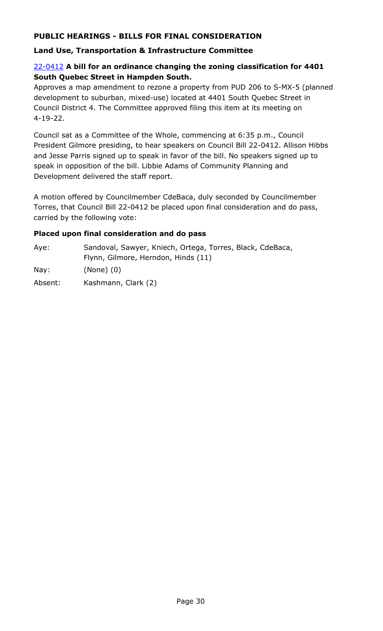## **PUBLIC HEARINGS - BILLS FOR FINAL CONSIDERATION**

### **Land Use, Transportation & Infrastructure Committee**

#### 22-0412 **A bill for an ordinance changing the zoning classification for 4401 South Quebec Street in Hampden South.**

[Approves a map amendment to rezone a property from PUD 206 to S-MX-5 \(planned](http://denver.legistar.com/gateway.aspx?m=l&id=/matter.aspx?key=21479)  development to suburban, mixed-use) located at 4401 South Quebec Street in Council District 4. The Committee approved filing this item at its meeting on 4-19-22.

Council sat as a Committee of the Whole, commencing at 6:35 p.m., Council President Gilmore presiding, to hear speakers on Council Bill 22-0412. Allison Hibbs and Jesse Parris signed up to speak in favor of the bill. No speakers signed up to speak in opposition of the bill. Libbie Adams of Community Planning and Development delivered the staff report.

A motion offered by Councilmember CdeBaca, duly seconded by Councilmember Torres, that Council Bill 22-0412 be placed upon final consideration and do pass, carried by the following vote:

| Ave:    | Sandoval, Sawyer, Kniech, Ortega, Torres, Black, CdeBaca, |
|---------|-----------------------------------------------------------|
|         | Flynn, Gilmore, Herndon, Hinds (11)                       |
| Nay:    | $(None)$ $(0)$                                            |
| Absent: | Kashmann, Clark (2)                                       |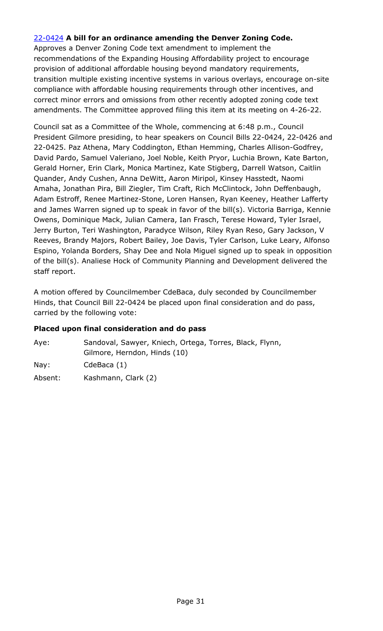#### 22-0424 **A bill for an ordinance amending the Denver Zoning Code.**

Approves a Denver Zoning Code text amendment to implement the recommendations of the Expanding Housing Affordability project to encourage provision of additional affordable housing beyond mandatory requirements, [transition multiple existing incentive systems in various overlays, encourage on-site](http://denver.legistar.com/gateway.aspx?m=l&id=/matter.aspx?key=21491)  compliance with affordable housing requirements through other incentives, and correct minor errors and omissions from other recently adopted zoning code text amendments. The Committee approved filing this item at its meeting on 4-26-22.

Council sat as a Committee of the Whole, commencing at 6:48 p.m., Council President Gilmore presiding, to hear speakers on Council Bills 22-0424, 22-0426 and 22-0425. Paz Athena, Mary Coddington, Ethan Hemming, Charles Allison-Godfrey, David Pardo, Samuel Valeriano, Joel Noble, Keith Pryor, Luchia Brown, Kate Barton, Gerald Horner, Erin Clark, Monica Martinez, Kate Stigberg, Darrell Watson, Caitlin Quander, Andy Cushen, Anna DeWitt, Aaron Miripol, Kinsey Hasstedt, Naomi Amaha, Jonathan Pira, Bill Ziegler, Tim Craft, Rich McClintock, John Deffenbaugh, Adam Estroff, Renee Martinez-Stone, Loren Hansen, Ryan Keeney, Heather Lafferty and James Warren signed up to speak in favor of the bill(s). Victoria Barriga, Kennie Owens, Dominique Mack, Julian Camera, Ian Frasch, Terese Howard, Tyler Israel, Jerry Burton, Teri Washington, Paradyce Wilson, Riley Ryan Reso, Gary Jackson, V Reeves, Brandy Majors, Robert Bailey, Joe Davis, Tyler Carlson, Luke Leary, Alfonso Espino, Yolanda Borders, Shay Dee and Nola Miguel signed up to speak in opposition of the bill(s). Analiese Hock of Community Planning and Development delivered the staff report.

A motion offered by Councilmember CdeBaca, duly seconded by Councilmember Hinds, that Council Bill 22-0424 be placed upon final consideration and do pass, carried by the following vote:

| Aye:            | Sandoval, Sawyer, Kniech, Ortega, Torres, Black, Flynn, |
|-----------------|---------------------------------------------------------|
|                 | Gilmore, Herndon, Hinds (10)                            |
| $\textsf{Nay}:$ | CdeBaca (1)                                             |
| Absent:         | Kashmann, Clark (2)                                     |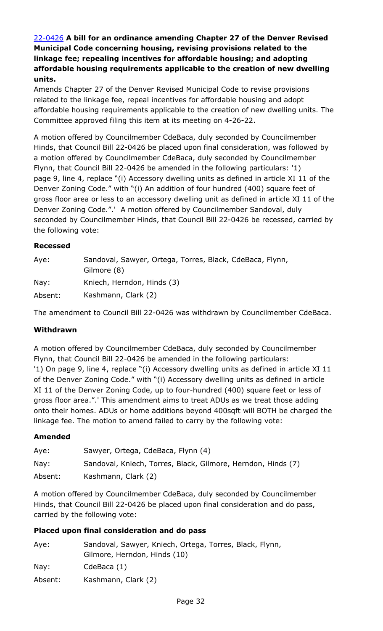## 22-0426 **A bill for an ordinance amending Chapter 27 of the Denver Revised Municipal Code concerning housing, revising provisions related to the linkage fee; repealing incentives for affordable housing; and adopting affordable housing requirements applicable to the creation of new dwelling units.**

Amends Chapter 27 of the Denver Revised Municipal Code to revise provisions related to the linkage fee, repeal incentives for affordable housing and adopt [affordable housing requirements applicable to the creation of new dwelling units. The](http://denver.legistar.com/gateway.aspx?m=l&id=/matter.aspx?key=21493)  Committee approved filing this item at its meeting on 4-26-22.

A motion offered by Councilmember CdeBaca, duly seconded by Councilmember Hinds, that Council Bill 22-0426 be placed upon final consideration, was followed by a motion offered by Councilmember CdeBaca, duly seconded by Councilmember Flynn, that Council Bill 22-0426 be amended in the following particulars:  $'1$ ) page 9, line 4, replace "(i) Accessory dwelling units as defined in article XI 11 of the Denver Zoning Code." with "(i) An addition of four hundred (400) square feet of gross floor area or less to an accessory dwelling unit as defined in article XI 11 of the Denver Zoning Code.".' A motion offered by Councilmember Sandoval, duly seconded by Councilmember Hinds, that Council Bill 22-0426 be recessed, carried by the following vote:

#### **Recessed**

| Aye:    | Sandoval, Sawyer, Ortega, Torres, Black, CdeBaca, Flynn,<br>Gilmore (8) |
|---------|-------------------------------------------------------------------------|
| Nay:    | Kniech, Herndon, Hinds (3)                                              |
| Absent: | Kashmann, Clark (2)                                                     |

The amendment to Council Bill 22-0426 was withdrawn by Councilmember CdeBaca.

#### **Withdrawn**

A motion offered by Councilmember CdeBaca, duly seconded by Councilmember Flynn, that Council Bill 22-0426 be amended in the following particulars: '1) On page 9, line 4, replace "(i) Accessory dwelling units as defined in article XI 11 of the Denver Zoning Code." with "(i) Accessory dwelling units as defined in article XI 11 of the Denver Zoning Code, up to four-hundred (400) square feet or less of gross floor area.".' This amendment aims to treat ADUs as we treat those adding onto their homes. ADUs or home additions beyond 400sqft will BOTH be charged the linkage fee. The motion to amend failed to carry by the following vote:

#### **Amended**

| Aye:    | Sawyer, Ortega, CdeBaca, Flynn (4)                           |
|---------|--------------------------------------------------------------|
| Nay:    | Sandoval, Kniech, Torres, Black, Gilmore, Herndon, Hinds (7) |
| Absent: | Kashmann, Clark (2)                                          |

A motion offered by Councilmember CdeBaca, duly seconded by Councilmember Hinds, that Council Bill 22-0426 be placed upon final consideration and do pass, carried by the following vote:

| Aye:            | Sandoval, Sawyer, Kniech, Ortega, Torres, Black, Flynn, |
|-----------------|---------------------------------------------------------|
|                 | Gilmore, Herndon, Hinds (10)                            |
| $\textsf{Nay}:$ | CdeBaca (1)                                             |
| Absent:         | Kashmann, Clark (2)                                     |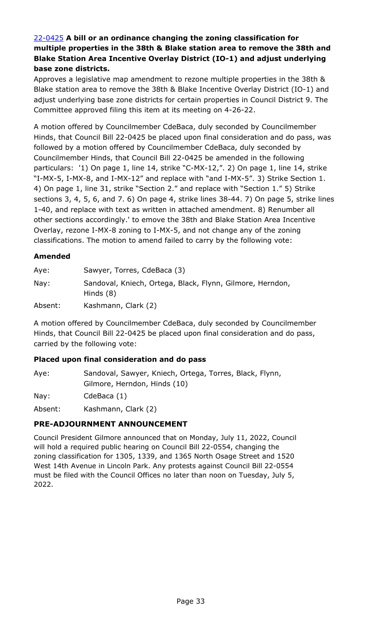## 22-0425 **A bill or an ordinance changing the zoning classification for [multiple properties in the 38th & Blake station area to remove the 38th and](http://denver.legistar.com/gateway.aspx?m=l&id=/matter.aspx?key=21492)  Blake Station Area Incentive Overlay District (IO-1) and adjust underlying base zone districts.**

Approves a legislative map amendment to rezone multiple properties in the 38th & Blake station area to remove the 38th & Blake Incentive Overlay District (IO-1) and adjust underlying base zone districts for certain properties in Council District 9. The Committee approved filing this item at its meeting on 4-26-22.

A motion offered by Councilmember CdeBaca, duly seconded by Councilmember Hinds, that Council Bill 22-0425 be placed upon final consideration and do pass, was followed by a motion offered by Councilmember CdeBaca, duly seconded by Councilmember Hinds, that Council Bill 22-0425 be amended in the following particulars: '1) On page 1, line 14, strike "C-MX-12,". 2) On page 1, line 14, strike "I-MX-5, I-MX-8, and I-MX-12" and replace with "and I-MX-5". 3) Strike Section 1. 4) On page 1, line 31, strike "Section 2." and replace with "Section 1." 5) Strike sections 3, 4, 5, 6, and 7. 6) On page 4, strike lines 38-44. 7) On page 5, strike lines 1-40, and replace with text as written in attached amendment. 8) Renumber all other sections accordingly.' to emove the 38th and Blake Station Area Incentive Overlay, rezone I-MX-8 zoning to I-MX-5, and not change any of the zoning classifications. The motion to amend failed to carry by the following vote:

### **Amended**

| Aye:    | Sawyer, Torres, CdeBaca (3)                                              |
|---------|--------------------------------------------------------------------------|
| Nay:    | Sandoval, Kniech, Ortega, Black, Flynn, Gilmore, Herndon,<br>Hinds $(8)$ |
| Absent: | Kashmann, Clark (2)                                                      |

A motion offered by Councilmember CdeBaca, duly seconded by Councilmember Hinds, that Council Bill 22-0425 be placed upon final consideration and do pass, carried by the following vote:

### **Placed upon final consideration and do pass**

| Aye:    | Sandoval, Sawyer, Kniech, Ortega, Torres, Black, Flynn,<br>Gilmore, Herndon, Hinds (10) |
|---------|-----------------------------------------------------------------------------------------|
| Nay:    | CdeBaca (1)                                                                             |
| Absent: | Kashmann, Clark (2)                                                                     |

## **PRE-ADJOURNMENT ANNOUNCEMENT**

Council President Gilmore announced that on Monday, July 11, 2022, Council will hold a required public hearing on Council Bill 22-0554, changing the zoning classification for 1305, 1339, and 1365 North Osage Street and 1520 West 14th Avenue in Lincoln Park. Any protests against Council Bill 22-0554 must be filed with the Council Offices no later than noon on Tuesday, July 5, 2022.